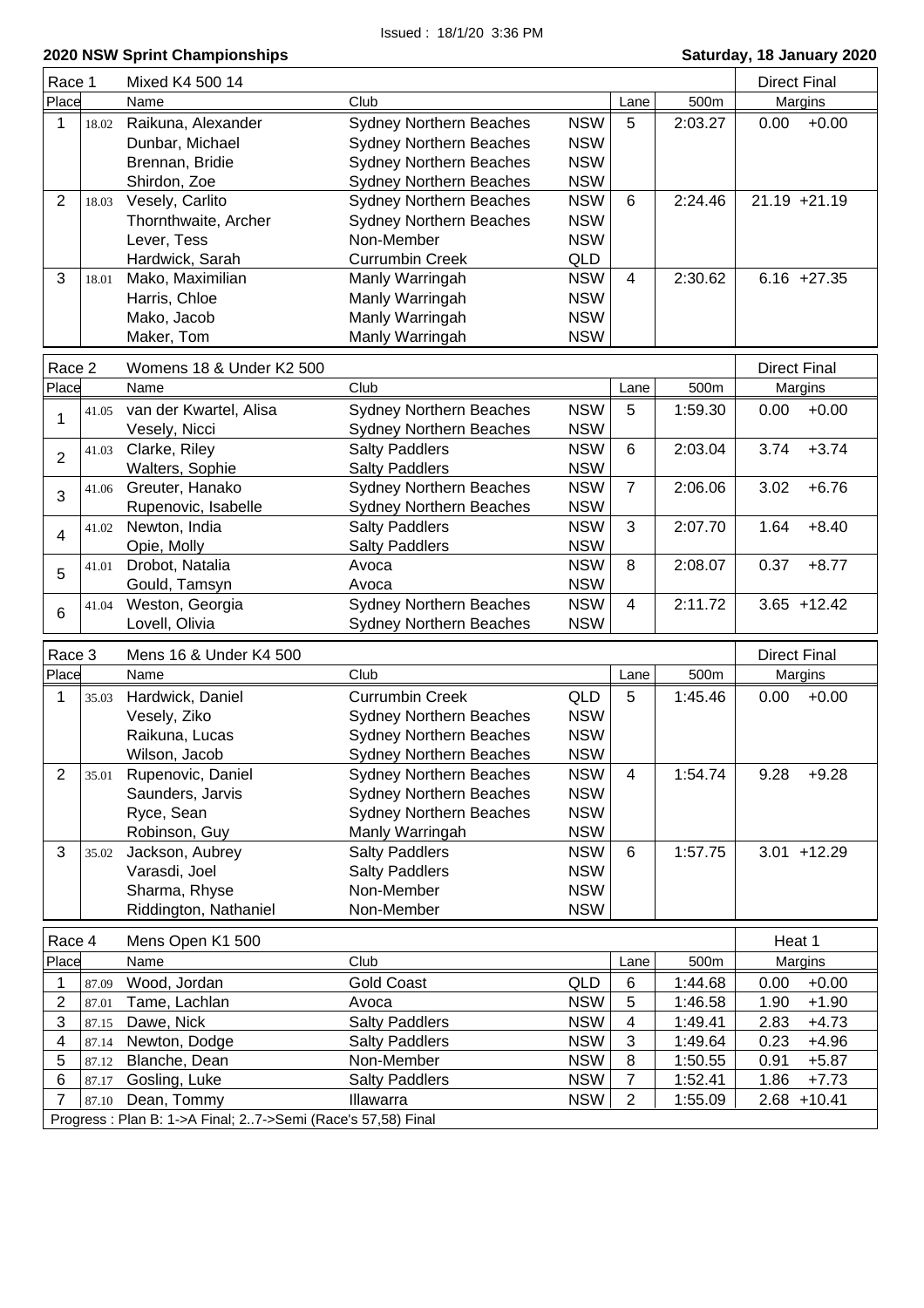| Race 1         |       | Mixed K4 500 14                                                             |                                |                          |                |         | <b>Direct Final</b> |
|----------------|-------|-----------------------------------------------------------------------------|--------------------------------|--------------------------|----------------|---------|---------------------|
| Place          |       | Name                                                                        | Club                           |                          | Lane           | 500m    | Margins             |
| 1              | 18.02 | Raikuna, Alexander                                                          | <b>Sydney Northern Beaches</b> | <b>NSW</b>               | 5              | 2:03.27 | $+0.00$<br>0.00     |
|                |       | Dunbar, Michael                                                             | <b>Sydney Northern Beaches</b> | <b>NSW</b>               |                |         |                     |
|                |       | Brennan, Bridie                                                             | <b>Sydney Northern Beaches</b> | <b>NSW</b>               |                |         |                     |
|                |       | Shirdon, Zoe                                                                | <b>Sydney Northern Beaches</b> | <b>NSW</b>               |                |         |                     |
| $\overline{2}$ | 18.03 | Vesely, Carlito                                                             | <b>Sydney Northern Beaches</b> | <b>NSW</b>               | 6              | 2:24.46 | $21.19 + 21.19$     |
|                |       | Thornthwaite, Archer                                                        | <b>Sydney Northern Beaches</b> | <b>NSW</b>               |                |         |                     |
|                |       | Lever, Tess                                                                 | Non-Member                     | <b>NSW</b>               |                |         |                     |
|                |       | Hardwick, Sarah                                                             | <b>Currumbin Creek</b>         | QLD                      |                |         |                     |
| 3              | 18.01 | Mako, Maximilian                                                            | Manly Warringah                | <b>NSW</b>               | $\overline{4}$ | 2:30.62 | $6.16 +27.35$       |
|                |       | Harris, Chloe                                                               | Manly Warringah                | <b>NSW</b>               |                |         |                     |
|                |       | Mako, Jacob                                                                 | Manly Warringah                | <b>NSW</b>               |                |         |                     |
|                |       | Maker, Tom                                                                  | Manly Warringah                | <b>NSW</b>               |                |         |                     |
| Race 2         |       | Womens 18 & Under K2 500                                                    |                                |                          |                |         | <b>Direct Final</b> |
| Place          |       | Name                                                                        | Club                           |                          | Lane           | 500m    | Margins             |
|                | 41.05 | van der Kwartel, Alisa                                                      | <b>Sydney Northern Beaches</b> | <b>NSW</b>               | 5              | 1:59.30 | 0.00<br>$+0.00$     |
| 1              |       | Vesely, Nicci                                                               | <b>Sydney Northern Beaches</b> | <b>NSW</b>               |                |         |                     |
|                | 41.03 | Clarke, Riley                                                               | <b>Salty Paddlers</b>          | <b>NSW</b>               | 6              | 2:03.04 | $+3.74$<br>3.74     |
| $\overline{2}$ |       | Walters, Sophie                                                             | <b>Salty Paddlers</b>          | <b>NSW</b>               |                |         |                     |
|                | 41.06 | Greuter, Hanako                                                             | <b>Sydney Northern Beaches</b> | <b>NSW</b>               | $\overline{7}$ | 2:06.06 | $+6.76$<br>3.02     |
| 3              |       | Rupenovic, Isabelle                                                         | <b>Sydney Northern Beaches</b> | <b>NSW</b>               |                |         |                     |
|                | 41.02 | Newton, India                                                               | <b>Salty Paddlers</b>          | <b>NSW</b>               | 3              | 2:07.70 | 1.64<br>$+8.40$     |
| 4              |       | Opie, Molly                                                                 | <b>Salty Paddlers</b>          | <b>NSW</b>               |                |         |                     |
|                | 41.01 | Drobot, Natalia                                                             | Avoca                          | <b>NSW</b>               | 8              | 2:08.07 | $+8.77$<br>0.37     |
| 5              |       | Gould, Tamsyn                                                               | Avoca                          | <b>NSW</b>               |                |         |                     |
|                | 41.04 | Weston, Georgia                                                             | <b>Sydney Northern Beaches</b> | <b>NSW</b>               | $\overline{4}$ | 2:11.72 | $3.65 + 12.42$      |
| 6              |       | Lovell, Olivia                                                              | <b>Sydney Northern Beaches</b> | <b>NSW</b>               |                |         |                     |
|                |       |                                                                             |                                |                          |                |         |                     |
| Race 3         |       | Mens 16 & Under K4 500                                                      |                                |                          |                |         | <b>Direct Final</b> |
| Place          |       | Name                                                                        | Club                           |                          | Lane           | 500m    | Margins             |
| 1              | 35.03 | Hardwick, Daniel                                                            | <b>Currumbin Creek</b>         | <b>QLD</b>               | 5              | 1:45.46 | $+0.00$<br>0.00     |
|                |       | Vesely, Ziko                                                                | <b>Sydney Northern Beaches</b> | <b>NSW</b>               |                |         |                     |
|                |       | Raikuna, Lucas                                                              | Sydney Northern Beaches        | <b>NSW</b>               |                |         |                     |
|                |       | Wilson, Jacob                                                               | <b>Sydney Northern Beaches</b> | <b>NSW</b>               |                |         |                     |
| 2              | 35.01 | Rupenovic, Daniel                                                           | <b>Sydney Northern Beaches</b> | <b>NSW</b>               | 4              | 1:54.74 | 9.28<br>$+9.28$     |
|                |       | Saunders, Jarvis                                                            | <b>Sydney Northern Beaches</b> | <b>NSW</b>               |                |         |                     |
|                |       | Ryce, Sean                                                                  | <b>Sydney Northern Beaches</b> | <b>NSW</b>               |                |         |                     |
|                |       | Robinson, Guy                                                               | Manly Warringah                | <b>NSW</b>               |                |         |                     |
| 3              | 35.02 | Jackson, Aubrey                                                             | <b>Salty Paddlers</b>          | <b>NSW</b>               | 6              | 1:57.75 | $3.01 + 12.29$      |
|                |       | Varasdi, Joel                                                               | <b>Salty Paddlers</b>          | <b>NSW</b>               |                |         |                     |
|                |       | Sharma, Rhyse<br>Riddington, Nathaniel                                      | Non-Member<br>Non-Member       | <b>NSW</b><br><b>NSW</b> |                |         |                     |
|                |       |                                                                             |                                |                          |                |         |                     |
|                |       |                                                                             |                                |                          |                |         |                     |
| Race 4         |       | Mens Open K1 500                                                            |                                |                          |                |         | Heat 1              |
| Place          |       | Name                                                                        | Club                           |                          | Lane           | 500m    | Margins             |
| 1              | 87.09 | Wood, Jordan                                                                | <b>Gold Coast</b>              | QLD                      | $\,6$          | 1:44.68 | 0.00<br>$+0.00$     |
| 2              | 87.01 | Tame, Lachlan                                                               | Avoca                          | <b>NSW</b>               | 5              | 1:46.58 | 1.90<br>$+1.90$     |
| 3              | 87.15 | Dawe, Nick                                                                  | <b>Salty Paddlers</b>          | <b>NSW</b>               | 4              | 1:49.41 | 2.83<br>$+4.73$     |
| 4              | 87.14 | Newton, Dodge                                                               | <b>Salty Paddlers</b>          | <b>NSW</b>               | 3              | 1:49.64 | 0.23<br>$+4.96$     |
| 5              | 87.12 | Blanche, Dean                                                               | Non-Member                     | <b>NSW</b>               | 8              | 1:50.55 | $+5.87$<br>0.91     |
| 6              | 87.17 | Gosling, Luke                                                               | <b>Salty Paddlers</b>          | <b>NSW</b>               | 7              | 1:52.41 | 1.86<br>$+7.73$     |
| 7              | 87.10 | Dean, Tommy<br>Progress : Plan B: 1->A Final; 27->Semi (Race's 57,58) Final | Illawarra                      | <b>NSW</b>               | 2              | 1:55.09 | $2.68 + 10.41$      |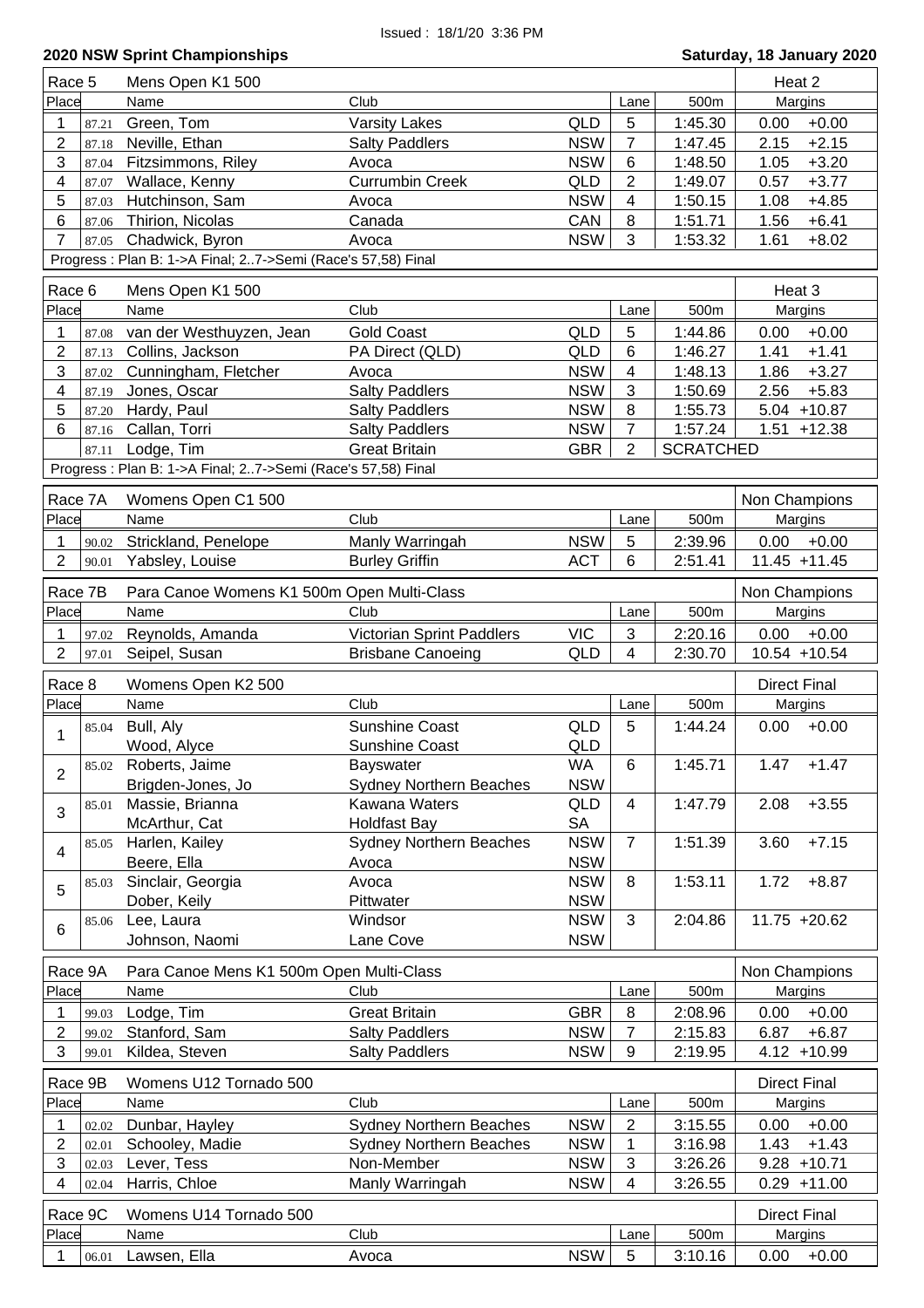| Race 5         |       | Mens Open K1 500                                             |                                |            |                |                    | Heat 2                           |
|----------------|-------|--------------------------------------------------------------|--------------------------------|------------|----------------|--------------------|----------------------------------|
| Place          |       | Name                                                         | Club                           |            | Lane           | 500m               | Margins                          |
| 1              | 87.21 | Green, Tom                                                   | <b>Varsity Lakes</b>           | QLD        | 5              | 1:45.30            | $+0.00$<br>0.00                  |
| 2              | 87.18 | Neville, Ethan                                               | <b>Salty Paddlers</b>          | <b>NSW</b> | $\overline{7}$ | 1:47.45            | $+2.15$<br>2.15                  |
| 3              | 87.04 | Fitzsimmons, Riley                                           | Avoca                          | <b>NSW</b> | 6              | 1:48.50            | 1.05<br>$+3.20$                  |
| 4              | 87.07 | Wallace, Kenny                                               | <b>Currumbin Creek</b>         | QLD        | $\overline{2}$ | 1:49.07            | $+3.77$<br>0.57                  |
| 5              | 87.03 | Hutchinson, Sam                                              | Avoca                          | <b>NSW</b> | 4              | 1:50.15            | $+4.85$<br>1.08                  |
| 6              | 87.06 | Thirion, Nicolas                                             | Canada                         | CAN        | 8              | 1:51.71            | $+6.41$<br>1.56                  |
| 7              | 87.05 | Chadwick, Byron                                              | Avoca                          | <b>NSW</b> | 3              | 1:53.32            | $+8.02$<br>1.61                  |
|                |       | Progress : Plan B: 1->A Final; 27->Semi (Race's 57,58) Final |                                |            |                |                    |                                  |
| Race 6         |       | Mens Open K1 500                                             |                                |            |                |                    | Heat 3                           |
| Place          |       | Name                                                         | Club                           |            | Lane           | 500m               | Margins                          |
| 1              | 87.08 | van der Westhuyzen, Jean                                     | <b>Gold Coast</b>              | QLD        | 5              | 1:44.86            | $+0.00$<br>0.00                  |
| 2              | 87.13 | Collins, Jackson                                             | PA Direct (QLD)                | <b>QLD</b> | 6              | 1:46.27            | $+1.41$<br>1.41                  |
| 3              | 87.02 | Cunningham, Fletcher                                         | Avoca                          | <b>NSW</b> | 4              | 1:48.13            | $+3.27$<br>1.86                  |
| 4              | 87.19 | Jones, Oscar                                                 | <b>Salty Paddlers</b>          | <b>NSW</b> | 3              | 1:50.69            | 2.56<br>$+5.83$                  |
| 5              | 87.20 | Hardy, Paul                                                  | <b>Salty Paddlers</b>          | <b>NSW</b> | 8              | 1:55.73            | $5.04 + 10.87$                   |
| 6              | 87.16 | Callan, Torri                                                | <b>Salty Paddlers</b>          | <b>NSW</b> | $\overline{7}$ | 1:57.24            | $1.51 + 12.38$                   |
|                |       | Lodge, Tim                                                   | <b>Great Britain</b>           | <b>GBR</b> | $\overline{2}$ | <b>SCRATCHED</b>   |                                  |
|                | 87.11 |                                                              |                                |            |                |                    |                                  |
|                |       | Progress: Plan B: 1->A Final; 27->Semi (Race's 57,58) Final  |                                |            |                |                    |                                  |
| Race 7A        |       | Womens Open C1 500                                           |                                |            |                |                    | Non Champions                    |
| Place          |       | Name                                                         | Club                           |            | Lane           | 500m               | Margins                          |
| 1              | 90.02 | Strickland, Penelope                                         | Manly Warringah                | <b>NSW</b> | 5              | 2:39.96            | 0.00<br>$+0.00$                  |
| $\overline{2}$ | 90.01 | Yabsley, Louise                                              | <b>Burley Griffin</b>          | <b>ACT</b> | 6              | 2:51.41            | $11.45 + 11.45$                  |
|                |       |                                                              |                                |            |                |                    |                                  |
| Race 7B        |       | Para Canoe Womens K1 500m Open Multi-Class                   |                                |            |                |                    | Non Champions                    |
| Place          |       | Name                                                         | Club                           |            | Lane           | 500m               | Margins                          |
| 1              | 97.02 | Reynolds, Amanda                                             | Victorian Sprint Paddlers      | <b>VIC</b> | 3              | 2:20.16            | 0.00<br>$+0.00$                  |
| $\overline{2}$ | 97.01 | Seipel, Susan                                                | <b>Brisbane Canoeing</b>       | <b>QLD</b> | $\overline{4}$ | 2:30.70            | 10.54 +10.54                     |
|                |       |                                                              |                                |            |                |                    |                                  |
|                |       |                                                              |                                |            |                |                    |                                  |
| Race 8         |       | Womens Open K2 500                                           |                                |            |                |                    | <b>Direct Final</b>              |
| Place          |       | Name                                                         | Club                           |            | Lane           | 500m               | Margins                          |
| 1              | 85.04 | Bull, Aly                                                    | <b>Sunshine Coast</b>          | QLD        | 5              | 1:44.24            | 0.00<br>$+0.00$                  |
|                |       | Wood, Alyce                                                  | <b>Sunshine Coast</b>          | QLD        |                |                    |                                  |
| 2              |       | 85.02 Roberts, Jaime                                         | Bayswater                      | <b>WA</b>  | 6              | 1:45.71            | $1.47 + 1.47$                    |
|                |       | Brigden-Jones, Jo                                            | <b>Sydney Northern Beaches</b> | <b>NSW</b> |                |                    |                                  |
| 3              | 85.01 | Massie, Brianna                                              | Kawana Waters                  | QLD        | 4              | 1:47.79            | $+3.55$<br>2.08                  |
|                |       | McArthur, Cat                                                | <b>Holdfast Bay</b>            | <b>SA</b>  |                |                    |                                  |
| 4              | 85.05 | Harlen, Kailey                                               | <b>Sydney Northern Beaches</b> | <b>NSW</b> | $\overline{7}$ | 1:51.39            | 3.60<br>$+7.15$                  |
|                |       | Beere, Ella                                                  | Avoca                          | <b>NSW</b> |                |                    |                                  |
| 5              | 85.03 | Sinclair, Georgia                                            | Avoca                          | <b>NSW</b> | 8              | 1:53.11            | 1.72<br>$+8.87$                  |
|                |       | Dober, Keily                                                 | Pittwater                      | <b>NSW</b> |                |                    |                                  |
| 6              | 85.06 | Lee, Laura                                                   | Windsor                        | <b>NSW</b> | 3              | 2:04.86            | $11.75 + 20.62$                  |
|                |       | Johnson, Naomi                                               | Lane Cove                      | <b>NSW</b> |                |                    |                                  |
|                |       |                                                              |                                |            |                |                    |                                  |
| Race 9A        |       | Para Canoe Mens K1 500m Open Multi-Class                     | Club                           |            |                |                    | Non Champions                    |
| Place          |       | Name                                                         |                                |            | Lane           | 500m               | Margins                          |
| 1              | 99.03 | Lodge, Tim                                                   | <b>Great Britain</b>           | <b>GBR</b> | 8              | 2:08.96            | $+0.00$<br>0.00                  |
| $\overline{2}$ | 99.02 | Stanford, Sam                                                | <b>Salty Paddlers</b>          | <b>NSW</b> | 7              | 2:15.83            | 6.87<br>$+6.87$                  |
| 3              | 99.01 | Kildea, Steven                                               | <b>Salty Paddlers</b>          | <b>NSW</b> | 9              | 2:19.95            | $4.12 + 10.99$                   |
| Race 9B        |       | Womens U12 Tornado 500                                       |                                |            |                |                    | <b>Direct Final</b>              |
| Place          |       | Name                                                         | Club                           |            | Lane           | 500m               | Margins                          |
| 1              | 02.02 | Dunbar, Hayley                                               | <b>Sydney Northern Beaches</b> | <b>NSW</b> | 2              | 3:15.55            | $+0.00$<br>0.00                  |
| $\overline{2}$ | 02.01 | Schooley, Madie                                              | <b>Sydney Northern Beaches</b> | <b>NSW</b> | 1              | 3:16.98            | $+1.43$<br>1.43                  |
| 3              | 02.03 |                                                              |                                | <b>NSW</b> |                |                    |                                  |
| 4              | 02.04 | Lever, Tess<br>Harris, Chloe                                 | Non-Member<br>Manly Warringah  | <b>NSW</b> | 3<br>4         | 3:26.26<br>3:26.55 | $9.28 + 10.71$<br>$0.29 + 11.00$ |
|                |       |                                                              |                                |            |                |                    |                                  |
| Race 9C        |       | Womens U14 Tornado 500                                       |                                |            |                |                    | <b>Direct Final</b>              |
| Place<br>1     | 06.01 | Name<br>Lawsen, Ella                                         | Club<br>Avoca                  | <b>NSW</b> | Lane<br>5      | 500m<br>3:10.16    | Margins<br>0.00<br>$+0.00$       |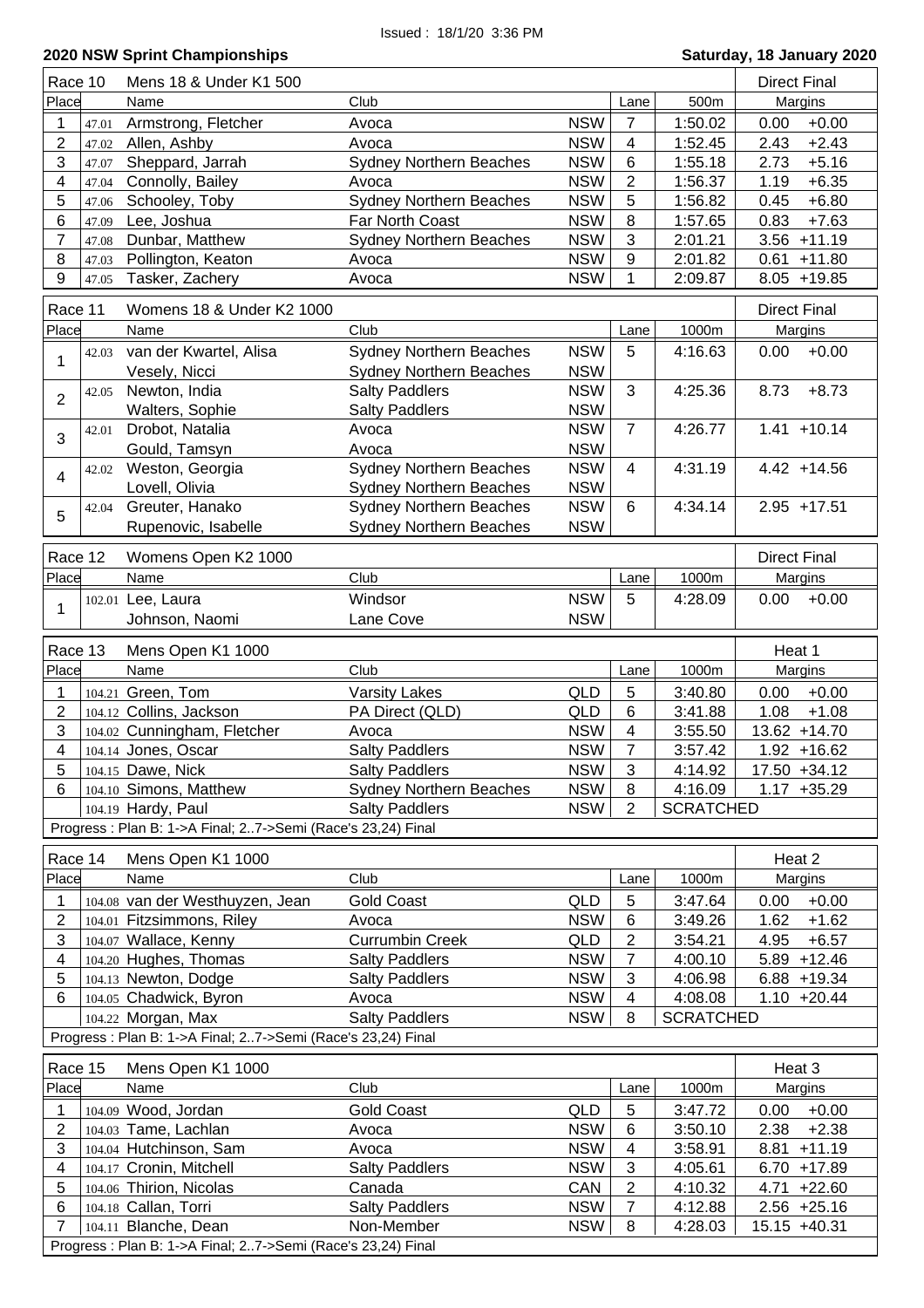| Race 10                 | Mens 18 & Under K1 500                                       |                                |            |                |                  | <b>Direct Final</b> |
|-------------------------|--------------------------------------------------------------|--------------------------------|------------|----------------|------------------|---------------------|
| Place                   | Name                                                         | Club                           |            | Lane           | 500m             | Margins             |
| 47.01                   | Armstrong, Fletcher                                          | Avoca                          | <b>NSW</b> | 7              | 1:50.02          | $+0.00$<br>0.00     |
| 2<br>47.02              | Allen, Ashby                                                 | Avoca                          | <b>NSW</b> | 4              | 1:52.45          | $+2.43$<br>2.43     |
| 3<br>47.07              | Sheppard, Jarrah                                             | <b>Sydney Northern Beaches</b> | <b>NSW</b> | 6              | 1:55.18          | 2.73<br>$+5.16$     |
| 4<br>47.04              | Connolly, Bailey                                             | Avoca                          | <b>NSW</b> | 2              | 1:56.37          | $+6.35$<br>1.19     |
| 5<br>47.06              | Schooley, Toby                                               | <b>Sydney Northern Beaches</b> | <b>NSW</b> | 5              | 1:56.82          | $+6.80$<br>0.45     |
| 6<br>47.09              | Lee, Joshua                                                  | Far North Coast                | <b>NSW</b> | 8              | 1:57.65          | 0.83<br>$+7.63$     |
| $\overline{7}$<br>47.08 | Dunbar, Matthew                                              | <b>Sydney Northern Beaches</b> | <b>NSW</b> | 3              | 2:01.21          | $+11.19$<br>3.56    |
| 8<br>47.03              | Pollington, Keaton                                           | Avoca                          | <b>NSW</b> | 9              | 2:01.82          | $+11.80$<br>0.61    |
| 9<br>47.05              | Tasker, Zachery                                              | Avoca                          | <b>NSW</b> | 1              | 2:09.87          | 8.05<br>$+19.85$    |
|                         |                                                              |                                |            |                |                  |                     |
| Race 11                 | Womens 18 & Under K2 1000                                    |                                |            |                |                  | <b>Direct Final</b> |
| Place                   | Name                                                         | Club                           |            | Lane           | 1000m            | Margins             |
| 42.03<br>1              | van der Kwartel, Alisa                                       | <b>Sydney Northern Beaches</b> | <b>NSW</b> | 5              | 4:16.63          | 0.00<br>$+0.00$     |
|                         | Vesely, Nicci                                                | <b>Sydney Northern Beaches</b> | <b>NSW</b> |                |                  |                     |
| 42.05<br>$\overline{2}$ | Newton, India                                                | <b>Salty Paddlers</b>          | <b>NSW</b> | 3              | 4:25.36          | 8.73<br>$+8.73$     |
|                         | Walters, Sophie                                              | <b>Salty Paddlers</b>          | <b>NSW</b> |                |                  |                     |
| 42.01<br>3              | Drobot, Natalia                                              | Avoca                          | <b>NSW</b> | $\overline{7}$ | 4:26.77          | $1.41 + 10.14$      |
|                         | Gould, Tamsyn                                                | Avoca                          | <b>NSW</b> |                |                  |                     |
| 42.02<br>$\overline{4}$ | Weston, Georgia                                              | <b>Sydney Northern Beaches</b> | <b>NSW</b> | $\overline{4}$ | 4:31.19          | $4.42 + 14.56$      |
|                         | Lovell, Olivia                                               | <b>Sydney Northern Beaches</b> | <b>NSW</b> |                |                  |                     |
| 42.04<br>5              | Greuter, Hanako                                              | <b>Sydney Northern Beaches</b> | <b>NSW</b> | 6              | 4:34.14          | $2.95 + 17.51$      |
|                         | Rupenovic, Isabelle                                          | <b>Sydney Northern Beaches</b> | <b>NSW</b> |                |                  |                     |
| Race 12                 | Womens Open K2 1000                                          |                                |            |                |                  | <b>Direct Final</b> |
| Place                   | Name                                                         | Club                           |            | Lane           | 1000m            | Margins             |
|                         | 102.01 Lee, Laura                                            | Windsor                        | <b>NSW</b> | 5              | 4:28.09          | $+0.00$<br>0.00     |
| 1                       | Johnson, Naomi                                               | Lane Cove                      | <b>NSW</b> |                |                  |                     |
|                         |                                                              |                                |            |                |                  |                     |
| Race 13                 | Mens Open K1 1000                                            |                                |            |                |                  | Heat 1              |
| Place                   | Name                                                         | Club                           |            | Lane           | 1000m            | Margins             |
| 1<br>104.21             | Green, Tom                                                   | <b>Varsity Lakes</b>           | QLD        | 5              | 3:40.80          | $+0.00$<br>0.00     |
| 2                       | 104.12 Collins, Jackson                                      | PA Direct (QLD)                | QLD        | 6              | 3:41.88          | 1.08<br>$+1.08$     |
| 3                       | 104.02 Cunningham, Fletcher                                  | Avoca                          | <b>NSW</b> | 4              | 3:55.50          | 13.62 +14.70        |
| 4                       | 104.14 Jones, Oscar                                          | <b>Salty Paddlers</b>          | <b>NSW</b> | 7              | 3:57.42          | $1.92 + 16.62$      |
| 5                       | 104.15 Dawe, Nick                                            | <b>Salty Paddlers</b>          | <b>NSW</b> | 3              | 4:14.92          | 17.50 +34.12        |
| 6                       | 104.10 Simons, Matthew                                       | <b>Sydney Northern Beaches</b> | <b>NSW</b> | 8              | 4:16.09          | $1.17 + 35.29$      |
|                         | 104.19 Hardy, Paul                                           | <b>Salty Paddlers</b>          | <b>NSW</b> | 2              | <b>SCRATCHED</b> |                     |
|                         | Progress : Plan B: 1->A Final; 27->Semi (Race's 23,24) Final |                                |            |                |                  |                     |
| Race 14                 | Mens Open K1 1000                                            |                                |            |                |                  | Heat 2              |
| Place                   | Name                                                         | Club                           |            | Lane           | 1000m            | Margins             |
| 1                       | 104.08 van der Westhuyzen, Jean                              | <b>Gold Coast</b>              | QLD        | 5              | 3:47.64          | 0.00<br>$+0.00$     |
| 2                       | 104.01 Fitzsimmons, Riley                                    | Avoca                          | <b>NSW</b> | 6              | 3:49.26          | 1.62<br>$+1.62$     |
| 3                       | 104.07 Wallace, Kenny                                        | <b>Currumbin Creek</b>         | <b>QLD</b> | $\overline{2}$ | 3:54.21          | 4.95<br>$+6.57$     |
| 4                       | 104.20 Hughes, Thomas                                        | <b>Salty Paddlers</b>          | <b>NSW</b> | 7              | 4:00.10          | $5.89 + 12.46$      |
| 5                       | 104.13 Newton, Dodge                                         | <b>Salty Paddlers</b>          | <b>NSW</b> | 3              | 4:06.98          | $6.88 + 19.34$      |
| 6                       | 104.05 Chadwick, Byron                                       | Avoca                          | <b>NSW</b> | 4              | 4:08.08          | $1.10 +20.44$       |
|                         | 104.22 Morgan, Max                                           | <b>Salty Paddlers</b>          | <b>NSW</b> | 8              | <b>SCRATCHED</b> |                     |
|                         | Progress : Plan B: 1->A Final; 27->Semi (Race's 23,24) Final |                                |            |                |                  |                     |
|                         |                                                              |                                |            |                |                  |                     |
| Race 15                 | Mens Open K1 1000                                            |                                |            |                |                  | Heat 3              |
| Place                   | Name                                                         | Club                           |            | Lane           | 1000m            | Margins             |
| 1                       | 104.09 Wood, Jordan                                          | <b>Gold Coast</b>              | QLD        | 5              | 3:47.72          | $+0.00$<br>0.00     |
| 2                       | 104.03 Tame, Lachlan                                         | Avoca                          | <b>NSW</b> | 6              | 3:50.10          | $+2.38$<br>2.38     |
| 3                       | 104.04 Hutchinson, Sam                                       | Avoca                          | <b>NSW</b> | 4              | 3:58.91          | $+11.19$<br>8.81    |
| 4                       | 104.17 Cronin, Mitchell                                      | <b>Salty Paddlers</b>          | <b>NSW</b> | 3              | 4:05.61          | $6.70 + 17.89$      |
| 5                       | 104.06 Thirion, Nicolas                                      | Canada                         | CAN        | $\overline{2}$ | 4:10.32          | $4.71 +22.60$       |
| 6                       | 104.18 Callan, Torri                                         | <b>Salty Paddlers</b>          | <b>NSW</b> | $\overline{7}$ | 4:12.88          | $2.56 + 25.16$      |
| $\overline{7}$          | 104.11 Blanche, Dean                                         | Non-Member                     | <b>NSW</b> | 8              | 4:28.03          | 15.15 +40.31        |
|                         | Progress : Plan B: 1->A Final; 27->Semi (Race's 23,24) Final |                                |            |                |                  |                     |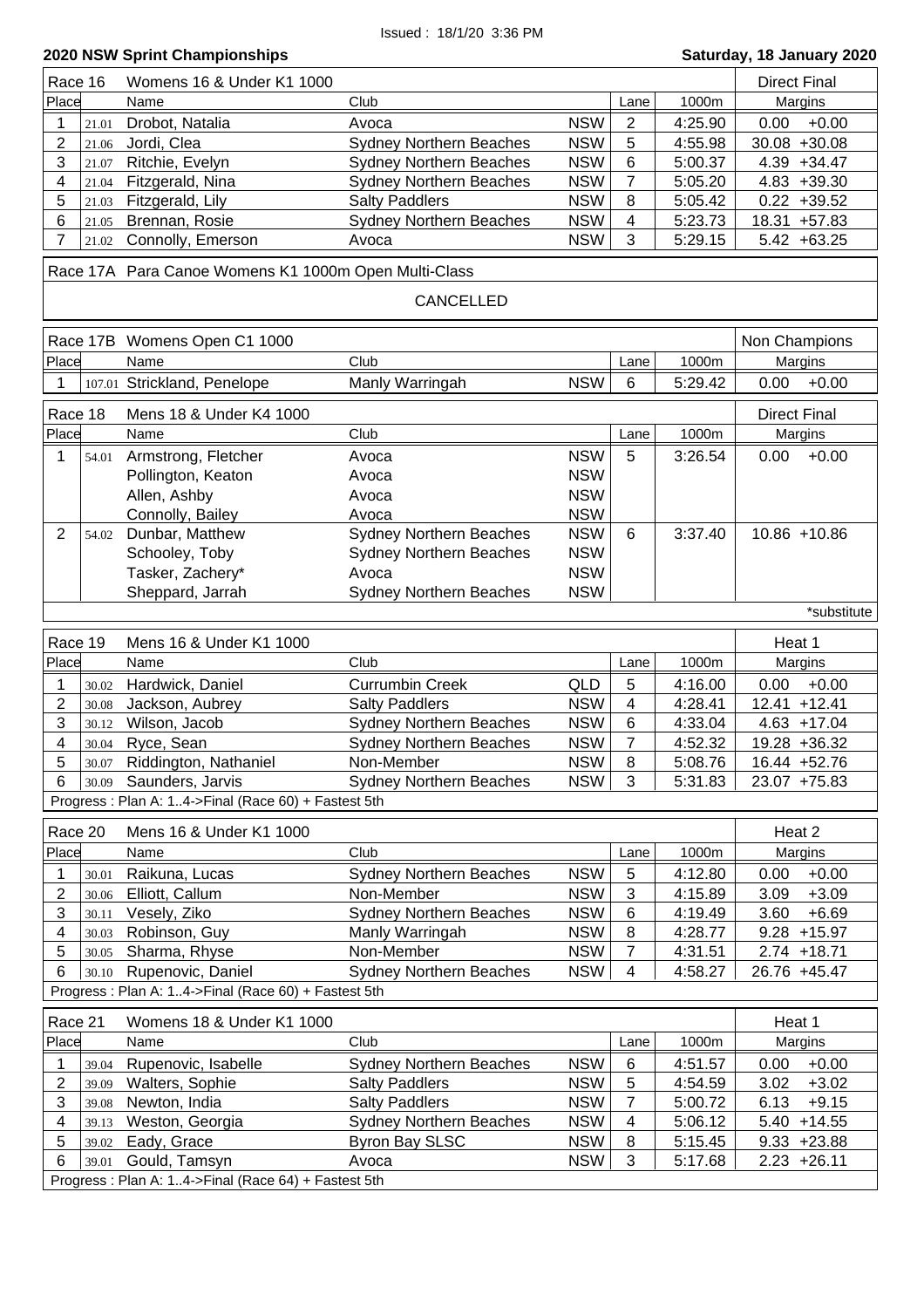| Race 16                 | Womens 16 & Under K1 1000                                                     |                                                            |                              |         | <b>Direct Final</b>                |
|-------------------------|-------------------------------------------------------------------------------|------------------------------------------------------------|------------------------------|---------|------------------------------------|
| Place                   | Name                                                                          | Club                                                       | Lane                         | 1000m   | Margins                            |
| 21.01                   | Drobot, Natalia                                                               | <b>NSW</b><br>Avoca                                        | $\overline{2}$               | 4:25.90 | $+0.00$<br>0.00                    |
| 2<br>21.06              | Jordi, Clea                                                                   | <b>NSW</b><br><b>Sydney Northern Beaches</b>               | 5                            | 4:55.98 | $30.08 + 30.08$                    |
| 3<br>21.07              | Ritchie, Evelyn                                                               | <b>NSW</b><br><b>Sydney Northern Beaches</b>               | 6                            | 5:00.37 | $4.39 + 34.47$                     |
| 4<br>21.04              | Fitzgerald, Nina                                                              | <b>NSW</b><br><b>Sydney Northern Beaches</b>               | $\overline{7}$               | 5:05.20 | $4.83 + 39.30$                     |
| 5<br>21.03              | Fitzgerald, Lily                                                              | <b>NSW</b><br><b>Salty Paddlers</b>                        | 8                            | 5:05.42 | $0.22 + 39.52$                     |
| 6<br>21.05              | Brennan, Rosie                                                                | <b>Sydney Northern Beaches</b><br><b>NSW</b>               | 4                            | 5:23.73 | 18.31 +57.83                       |
| 7<br>21.02              | Connolly, Emerson                                                             | <b>NSW</b><br>Avoca                                        | 3                            | 5:29.15 | $5.42 + 63.25$                     |
|                         | Race 17A Para Canoe Womens K1 1000m Open Multi-Class                          |                                                            |                              |         |                                    |
|                         |                                                                               | CANCELLED                                                  |                              |         |                                    |
|                         | Race 17B Womens Open C1 1000                                                  |                                                            |                              |         | Non Champions                      |
| Place                   | Name                                                                          | Club                                                       | Lane                         | 1000m   | Margins                            |
| 1                       | 107.01 Strickland, Penelope                                                   | Manly Warringah<br><b>NSW</b>                              | $6\phantom{1}$               | 5:29.42 | $+0.00$<br>0.00                    |
|                         |                                                                               |                                                            |                              |         |                                    |
| Race 18                 | Mens 18 & Under K4 1000                                                       |                                                            |                              |         | <b>Direct Final</b>                |
| Place                   | Name                                                                          | Club                                                       | Lane                         | 1000m   | Margins                            |
| 1<br>54.01              | Armstrong, Fletcher                                                           | <b>NSW</b><br>Avoca                                        | 5                            | 3:26.54 | 0.00<br>$+0.00$                    |
|                         | Pollington, Keaton                                                            | <b>NSW</b><br>Avoca                                        |                              |         |                                    |
|                         | Allen, Ashby                                                                  | <b>NSW</b><br>Avoca                                        |                              |         |                                    |
|                         | Connolly, Bailey                                                              | <b>NSW</b><br>Avoca                                        |                              |         |                                    |
| $\overline{2}$<br>54.02 | Dunbar, Matthew                                                               | <b>Sydney Northern Beaches</b><br><b>NSW</b>               | 6                            | 3:37.40 | 10.86 +10.86                       |
|                         | Schooley, Toby                                                                | <b>Sydney Northern Beaches</b><br><b>NSW</b>               |                              |         |                                    |
|                         | Tasker, Zachery*                                                              | <b>NSW</b><br>Avoca                                        |                              |         |                                    |
|                         | Sheppard, Jarrah                                                              | <b>NSW</b><br><b>Sydney Northern Beaches</b>               |                              |         |                                    |
|                         |                                                                               |                                                            |                              |         | *substitute                        |
|                         |                                                                               |                                                            |                              |         |                                    |
| Race 19                 | Mens 16 & Under K1 1000                                                       |                                                            |                              |         | Heat 1                             |
| Place                   | Name                                                                          | Club                                                       | Lane                         | 1000m   |                                    |
|                         |                                                                               |                                                            |                              |         | Margins                            |
| 30.02                   | Hardwick, Daniel                                                              | <b>Currumbin Creek</b><br><b>QLD</b>                       | 5<br>$\overline{\mathbf{4}}$ | 4:16.00 | $+0.00$<br>0.00<br>$12.41 + 12.41$ |
| 2<br>30.08<br>30.12     | Jackson, Aubrey                                                               | <b>Salty Paddlers</b><br><b>NSW</b>                        | 6                            | 4:28.41 |                                    |
| 3                       | Wilson, Jacob                                                                 | <b>NSW</b><br><b>Sydney Northern Beaches</b>               |                              | 4:33.04 | $4.63 + 17.04$                     |
| 4<br>30.04<br>5         | Ryce, Sean                                                                    | <b>NSW</b><br><b>Sydney Northern Beaches</b><br>Non-Member | 7<br>8                       | 4:52.32 | 19.28 +36.32                       |
| 30.07<br>6              | Riddington, Nathaniel                                                         | <b>NSW</b><br><b>NSW</b>                                   | 3                            | 5:08.76 | 16.44 +52.76                       |
|                         | 30.09 Saunders, Jarvis<br>Progress: Plan A: 14->Final (Race 60) + Fastest 5th | <b>Sydney Northern Beaches</b>                             |                              | 5:31.83 | 23.07 +75.83                       |
|                         |                                                                               |                                                            |                              |         |                                    |
| Race 20                 | Mens 16 & Under K1 1000                                                       |                                                            |                              |         | Heat 2                             |
| Place                   | Name                                                                          | Club                                                       | Lane                         | 1000m   | Margins                            |
| 1<br>30.01              | Raikuna, Lucas                                                                | <b>NSW</b><br><b>Sydney Northern Beaches</b>               | $\sqrt{5}$                   | 4:12.80 | $+0.00$<br>0.00                    |
| 2<br>30.06              | Elliott, Callum                                                               | <b>NSW</b><br>Non-Member                                   | 3                            | 4:15.89 | $+3.09$<br>3.09                    |
| 3<br>30.11              | Vesely, Ziko                                                                  | <b>Sydney Northern Beaches</b><br><b>NSW</b>               | 6                            | 4:19.49 | 3.60<br>$+6.69$                    |
| 4<br>30.03              | Robinson, Guy                                                                 | <b>NSW</b><br>Manly Warringah                              | 8                            | 4:28.77 | $9.28 + 15.97$                     |
| 5<br>30.05              | Sharma, Rhyse                                                                 | Non-Member<br><b>NSW</b>                                   | $\overline{7}$               | 4:31.51 | $2.74 + 18.71$                     |
| 6<br>30.10              | Rupenovic, Daniel                                                             | <b>Sydney Northern Beaches</b><br><b>NSW</b>               | 4                            | 4:58.27 | 26.76 +45.47                       |
|                         | Progress: Plan A: 14->Final (Race 60) + Fastest 5th                           |                                                            |                              |         |                                    |
| Race 21                 | Womens 18 & Under K1 1000                                                     |                                                            |                              |         | Heat 1                             |
| Place                   | Name                                                                          | Club                                                       | Lane                         | 1000m   | Margins                            |
| 1<br>39.04              | Rupenovic, Isabelle                                                           | <b>NSW</b><br><b>Sydney Northern Beaches</b>               | $\,6$                        | 4:51.57 | $+0.00$<br>0.00                    |
| 2<br>39.09              | Walters, Sophie                                                               | <b>NSW</b><br><b>Salty Paddlers</b>                        | 5                            | 4:54.59 | 3.02<br>$+3.02$                    |
| 3<br>39.08              | Newton, India                                                                 | <b>Salty Paddlers</b><br><b>NSW</b>                        | $\overline{7}$               | 5:00.72 | $+9.15$<br>6.13                    |
| 4<br>39.13              | Weston, Georgia                                                               | <b>NSW</b><br><b>Sydney Northern Beaches</b>               | $\overline{\mathcal{A}}$     | 5:06.12 | $5.40 + 14.55$                     |
| 5<br>39.02              | Eady, Grace                                                                   | <b>NSW</b><br><b>Byron Bay SLSC</b>                        | 8                            | 5:15.45 | $9.33 + 23.88$                     |
| 6<br>39.01              | Gould, Tamsyn                                                                 | <b>NSW</b><br>Avoca                                        | 3                            | 5:17.68 | $2.23 + 26.11$                     |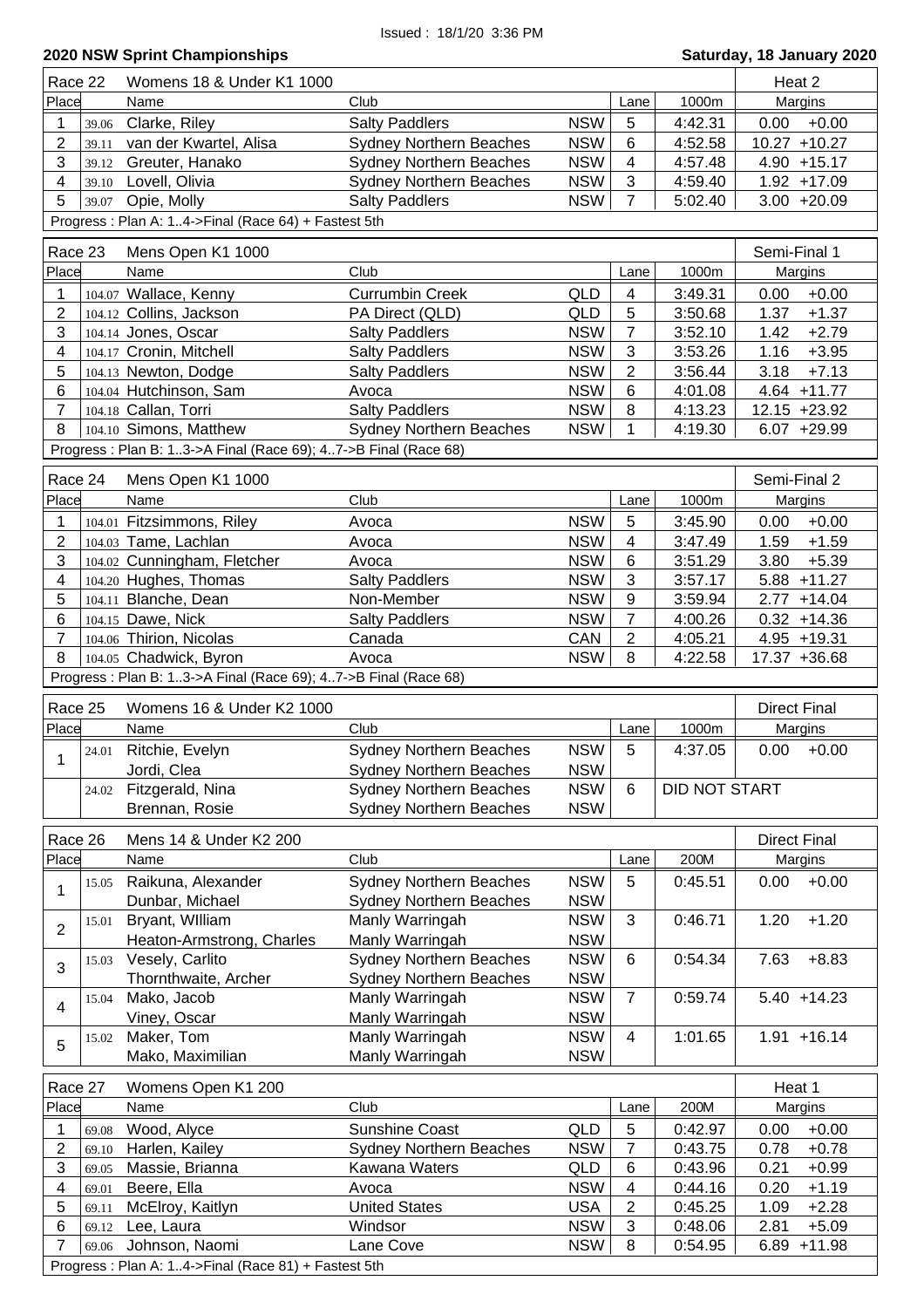| Race 22                                                        |       | Womens 18 & Under K1 1000                                             |                                |            |                         |               | Heat 2              |
|----------------------------------------------------------------|-------|-----------------------------------------------------------------------|--------------------------------|------------|-------------------------|---------------|---------------------|
| Place                                                          |       | Name                                                                  | Club                           |            | Lane                    | 1000m         | Margins             |
| 1                                                              | 39.06 | Clarke, Riley                                                         | <b>Salty Paddlers</b>          | <b>NSW</b> | 5                       | 4:42.31       | $+0.00$<br>0.00     |
| $\overline{2}$                                                 | 39.11 | van der Kwartel, Alisa                                                | <b>Sydney Northern Beaches</b> | <b>NSW</b> | 6                       | 4:52.58       | $10.27 + 10.27$     |
| 3                                                              | 39.12 | Greuter, Hanako                                                       | <b>Sydney Northern Beaches</b> | <b>NSW</b> | 4                       | 4:57.48       | $4.90 + 15.17$      |
| 4                                                              | 39.10 | Lovell, Olivia                                                        | <b>Sydney Northern Beaches</b> | <b>NSW</b> | $\mathbf{3}$            | 4:59.40       | $1.92 + 17.09$      |
| 5                                                              |       | 39.07 Opie, Molly                                                     | <b>Salty Paddlers</b>          | <b>NSW</b> | $\overline{7}$          | 5:02.40       | $3.00 + 20.09$      |
|                                                                |       | Progress: Plan A: 14->Final (Race 64) + Fastest 5th                   |                                |            |                         |               |                     |
|                                                                |       |                                                                       |                                |            |                         |               |                     |
| Race 23                                                        |       | Mens Open K1 1000                                                     |                                |            |                         |               | Semi-Final 1        |
| Place                                                          |       | Name                                                                  | Club                           |            | Lane                    | 1000m         | Margins             |
| 1                                                              |       | 104.07 Wallace, Kenny                                                 | <b>Currumbin Creek</b>         | <b>QLD</b> | $\overline{\mathbf{4}}$ | 3:49.31       | 0.00<br>$+0.00$     |
| $\overline{2}$                                                 |       | 104.12 Collins, Jackson                                               | PA Direct (QLD)                | <b>QLD</b> | 5                       | 3:50.68       | 1.37<br>$+1.37$     |
| 3                                                              |       | 104.14 Jones, Oscar                                                   | <b>Salty Paddlers</b>          | <b>NSW</b> | $\overline{7}$          | 3:52.10       | $+2.79$<br>1.42     |
| $\overline{\mathbf{4}}$                                        |       | 104.17 Cronin, Mitchell                                               | <b>Salty Paddlers</b>          | <b>NSW</b> | 3                       | 3:53.26       | $+3.95$<br>1.16     |
| 5                                                              |       | 104.13 Newton, Dodge                                                  | <b>Salty Paddlers</b>          | <b>NSW</b> | $\overline{2}$          | 3:56.44       | 3.18<br>$+7.13$     |
| 6                                                              |       | 104.04 Hutchinson, Sam                                                | Avoca                          | <b>NSW</b> | 6                       | 4:01.08       | $4.64$ +11.77       |
| $\overline{7}$                                                 |       | 104.18 Callan, Torri                                                  | <b>Salty Paddlers</b>          | <b>NSW</b> | 8                       | 4:13.23       | 12.15 +23.92        |
| 8                                                              |       | 104.10 Simons, Matthew                                                | <b>Sydney Northern Beaches</b> | <b>NSW</b> | 1                       | 4:19.30       | $6.07 + 29.99$      |
|                                                                |       | Progress: Plan B: 13->A Final (Race 69); 47->B Final (Race 68)        |                                |            |                         |               |                     |
| Race 24                                                        |       | Mens Open K1 1000                                                     |                                |            |                         |               | Semi-Final 2        |
| Place                                                          |       | Name                                                                  | Club                           |            | Lane                    | 1000m         | Margins             |
| 1                                                              |       | 104.01 Fitzsimmons, Riley                                             | Avoca                          | <b>NSW</b> | 5                       | 3:45.90       | $+0.00$<br>0.00     |
| $\boldsymbol{2}$                                               |       | 104.03 Tame, Lachlan                                                  | Avoca                          | <b>NSW</b> | 4                       | 3:47.49       | $+1.59$<br>1.59     |
| 3                                                              |       | 104.02 Cunningham, Fletcher                                           | Avoca                          | <b>NSW</b> | 6                       | 3:51.29       | 3.80<br>$+5.39$     |
| 4                                                              |       | 104.20 Hughes, Thomas                                                 | <b>Salty Paddlers</b>          | <b>NSW</b> | 3                       | 3:57.17       | $5.88 + 11.27$      |
| 5                                                              |       | 104.11 Blanche, Dean                                                  | Non-Member                     | <b>NSW</b> | 9                       | 3:59.94       | 2.77<br>$+14.04$    |
| 6                                                              |       | 104.15 Dawe, Nick                                                     | <b>Salty Paddlers</b>          | <b>NSW</b> | $\overline{7}$          | 4:00.26       | $0.32 + 14.36$      |
| $\overline{7}$                                                 |       | 104.06 Thirion, Nicolas                                               | Canada                         | CAN        | $\overline{2}$          | 4:05.21       | $4.95 + 19.31$      |
| 8                                                              |       | 104.05 Chadwick, Byron                                                | Avoca                          | <b>NSW</b> | 8                       | 4:22.58       | 17.37 +36.68        |
|                                                                |       |                                                                       |                                |            |                         |               |                     |
| Progress: Plan B: 13->A Final (Race 69); 47->B Final (Race 68) |       |                                                                       |                                |            |                         |               |                     |
|                                                                |       |                                                                       |                                |            |                         |               |                     |
| Race 25                                                        |       | Womens 16 & Under K2 1000                                             |                                |            |                         |               | <b>Direct Final</b> |
| Place                                                          |       | Name                                                                  | Club                           |            | Lane                    | 1000m         | Margins             |
|                                                                |       | 24.01 Ritchie, Evelyn                                                 | <b>Sydney Northern Beaches</b> | <b>NSW</b> | 5                       | 4:37.05       | 0.00<br>$+0.00$     |
| 1                                                              |       | Jordi, Clea                                                           | <b>Sydney Northern Beaches</b> | <b>NSW</b> |                         |               |                     |
|                                                                | 24.02 | Fitzgerald, Nina                                                      | <b>Sydney Northern Beaches</b> | <b>NSW</b> | 6                       | DID NOT START |                     |
|                                                                |       | Brennan, Rosie                                                        | <b>Sydney Northern Beaches</b> | <b>NSW</b> |                         |               |                     |
|                                                                |       |                                                                       |                                |            |                         |               |                     |
| Race 26                                                        |       | Mens 14 & Under K2 200                                                |                                |            |                         |               | <b>Direct Final</b> |
| Place                                                          |       | Name                                                                  | Club                           |            | Lane                    | 200M          | Margins             |
| 1                                                              | 15.05 | Raikuna, Alexander                                                    | <b>Sydney Northern Beaches</b> | <b>NSW</b> | 5                       | 0:45.51       | $+0.00$<br>0.00     |
|                                                                |       | Dunbar, Michael                                                       | <b>Sydney Northern Beaches</b> | <b>NSW</b> |                         |               |                     |
| $\overline{2}$                                                 | 15.01 | Bryant, William                                                       | Manly Warringah                | <b>NSW</b> | 3                       | 0:46.71       | $+1.20$<br>1.20     |
|                                                                |       | Heaton-Armstrong, Charles                                             | Manly Warringah                | <b>NSW</b> |                         |               |                     |
| 3                                                              | 15.03 | Vesely, Carlito                                                       | <b>Sydney Northern Beaches</b> | <b>NSW</b> | 6                       | 0:54.34       | 7.63<br>$+8.83$     |
|                                                                |       | Thornthwaite, Archer                                                  | <b>Sydney Northern Beaches</b> | <b>NSW</b> |                         |               |                     |
| $\overline{\mathbf{4}}$                                        | 15.04 | Mako, Jacob                                                           | Manly Warringah                | <b>NSW</b> | $\overline{7}$          | 0:59.74       | $5.40 + 14.23$      |
|                                                                |       | Viney, Oscar                                                          | Manly Warringah                | <b>NSW</b> |                         |               |                     |
| 5                                                              | 15.02 | Maker, Tom                                                            | Manly Warringah                | <b>NSW</b> | 4                       | 1:01.65       | $1.91 + 16.14$      |
|                                                                |       | Mako, Maximilian                                                      | Manly Warringah                | <b>NSW</b> |                         |               |                     |
| Race 27                                                        |       | Womens Open K1 200                                                    |                                |            |                         |               | Heat 1              |
| Place                                                          |       | Name                                                                  | Club                           |            | Lane                    | 200M          | Margins             |
| 1                                                              | 69.08 | Wood, Alyce                                                           | <b>Sunshine Coast</b>          | <b>QLD</b> | 5                       | 0:42.97       | $+0.00$<br>0.00     |
| 2                                                              | 69.10 | Harlen, Kailey                                                        | <b>Sydney Northern Beaches</b> | <b>NSW</b> | 7                       | 0:43.75       | $+0.78$<br>0.78     |
| 3                                                              | 69.05 | Massie, Brianna                                                       | Kawana Waters                  | QLD        | 6                       | 0:43.96       | 0.21<br>$+0.99$     |
| 4                                                              | 69.01 | Beere, Ella                                                           | Avoca                          | <b>NSW</b> | 4                       | 0:44.16       | 0.20<br>$+1.19$     |
| 5                                                              | 69.11 | McElroy, Kaitlyn                                                      | <b>United States</b>           | <b>USA</b> | 2                       | 0:45.25       | $+2.28$<br>1.09     |
| 6                                                              | 69.12 | Lee, Laura                                                            | Windsor                        | <b>NSW</b> | 3                       | 0:48.06       | 2.81<br>$+5.09$     |
| 7                                                              | 69.06 | Johnson, Naomi<br>Progress: Plan A: 14->Final (Race 81) + Fastest 5th | Lane Cove                      | <b>NSW</b> | 8                       | 0:54.95       | $+11.98$<br>6.89    |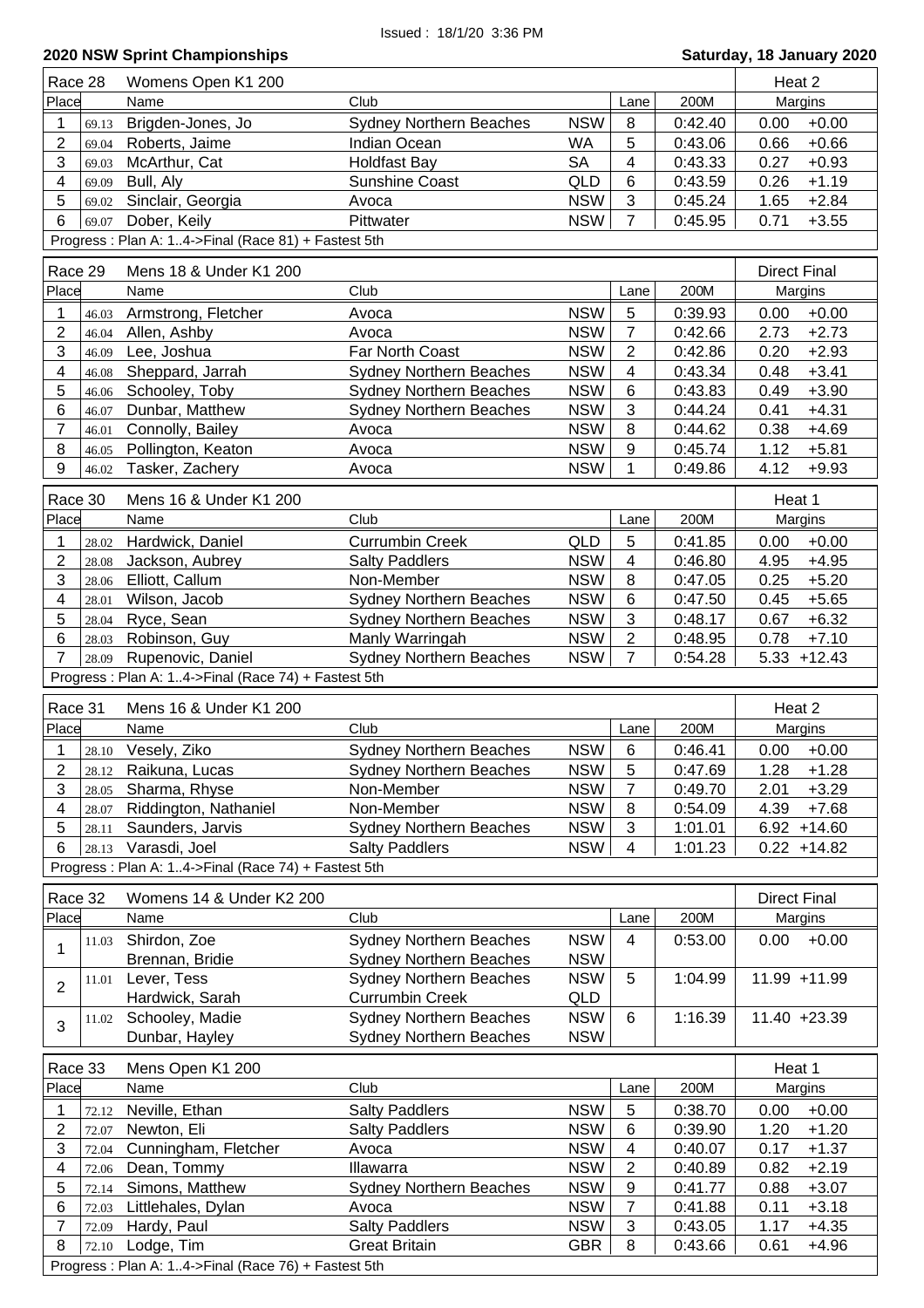| Race 28<br>Womens Open K1 200<br>Place<br>Club<br>Name<br><b>NSW</b><br>Brigden-Jones, Jo<br><b>Sydney Northern Beaches</b><br>1<br>69.13 |                           | Heat 2                                                   |
|-------------------------------------------------------------------------------------------------------------------------------------------|---------------------------|----------------------------------------------------------|
|                                                                                                                                           | Lane                      | Margins<br>200M                                          |
|                                                                                                                                           | 8                         | 0:42.40<br>$+0.00$<br>0.00                               |
| $\overline{2}$<br>Roberts, Jaime<br>WA<br>Indian Ocean<br>69.04                                                                           | 5                         | $+0.66$<br>0:43.06<br>0.66                               |
| 3<br><b>SA</b><br>McArthur, Cat<br><b>Holdfast Bay</b><br>69.03                                                                           | $\overline{\mathbf{4}}$   | $+0.93$<br>0:43.33<br>0.27                               |
| $\overline{\mathbf{4}}$<br>Bull, Aly<br>Sunshine Coast<br>QLD<br>69.09                                                                    | 6                         | $+1.19$<br>0:43.59<br>0.26                               |
| 5<br>Sinclair, Georgia<br><b>NSW</b><br>Avoca<br>69.02                                                                                    | $\mathfrak{S}$            | 1.65<br>$+2.84$<br>0:45.24                               |
| 6<br><b>NSW</b><br>Dober, Keily<br>Pittwater<br>69.07                                                                                     | $\overline{7}$            | 0.71<br>$+3.55$<br>0:45.95                               |
| Progress: Plan A: 14->Final (Race 81) + Fastest 5th                                                                                       |                           |                                                          |
| Race 29<br>Mens 18 & Under K1 200                                                                                                         |                           | <b>Direct Final</b>                                      |
|                                                                                                                                           |                           |                                                          |
| Place<br>Club<br>Name                                                                                                                     | Lane                      | 200M<br>Margins                                          |
| <b>NSW</b><br>1<br>Armstrong, Fletcher<br>Avoca<br>46.03                                                                                  | $\sqrt{5}$                | $+0.00$<br>0:39.93<br>0.00                               |
| $\overline{2}$<br><b>NSW</b><br>Allen, Ashby<br>Avoca<br>46.04                                                                            | $\overline{7}$            | $+2.73$<br>0:42.66<br>2.73                               |
| 3<br><b>NSW</b><br>Lee, Joshua<br>Far North Coast<br>46.09                                                                                | $\overline{2}$            | 0.20<br>$+2.93$<br>0:42.86                               |
| $\overline{\mathbf{4}}$<br><b>NSW</b><br>Sheppard, Jarrah<br><b>Sydney Northern Beaches</b><br>46.08                                      | $\overline{4}$            | $+3.41$<br>0:43.34<br>0.48                               |
| 5<br><b>NSW</b><br>Schooley, Toby<br><b>Sydney Northern Beaches</b><br>46.06                                                              | $\,6$                     | $+3.90$<br>0:43.83<br>0.49                               |
| 6<br>Dunbar, Matthew<br><b>NSW</b><br><b>Sydney Northern Beaches</b><br>46.07                                                             | $\mathbf{3}$              | $+4.31$<br>0:44.24<br>0.41                               |
| 7<br><b>NSW</b><br>Connolly, Bailey<br>Avoca<br>46.01                                                                                     | 8                         | $+4.69$<br>0:44.62<br>0.38                               |
| 8<br><b>NSW</b><br>Pollington, Keaton<br>Avoca<br>46.05                                                                                   | 9                         | $+5.81$<br>0:45.74<br>1.12                               |
| 9<br>Tasker, Zachery<br><b>NSW</b><br>46.02<br>Avoca                                                                                      | 1                         | 4.12<br>$+9.93$<br>0:49.86                               |
| Race 30<br>Mens 16 & Under K1 200                                                                                                         |                           | Heat 1                                                   |
| Place<br>Club<br>Name                                                                                                                     | Lane                      | 200M<br>Margins                                          |
| QLD<br><b>Currumbin Creek</b><br>Hardwick, Daniel<br>1<br>28.02                                                                           | 5                         | 0:41.85<br>$+0.00$<br>0.00                               |
| 2<br><b>NSW</b><br>Jackson, Aubrey<br><b>Salty Paddlers</b><br>28.08                                                                      | 4                         | 4.95<br>$+4.95$<br>0:46.80                               |
| 3<br><b>NSW</b><br>Elliott, Callum<br>Non-Member<br>28.06                                                                                 | 8                         | 0.25<br>$+5.20$<br>0:47.05                               |
| <b>Sydney Northern Beaches</b><br><b>NSW</b><br>4<br>Wilson, Jacob<br>28.01                                                               | $\,6$                     | 0:47.50<br>0.45<br>$+5.65$                               |
| 5<br><b>NSW</b><br>Ryce, Sean<br><b>Sydney Northern Beaches</b><br>28.04                                                                  | $\mathfrak{S}$            | 0:48.17<br>0.67<br>$+6.32$                               |
| 6<br>Robinson, Guy<br>Manly Warringah<br><b>NSW</b><br>28.03                                                                              | $\overline{2}$            | $+7.10$<br>0:48.95<br>0.78                               |
| $\overline{7}$<br>Sydney Northern Beaches<br><b>NSW</b><br>Rupenovic, Daniel<br>28.09                                                     | $\overline{7}$            | $5.33 + 12.43$<br>0:54.28                                |
| Progress: Plan A: 14->Final (Race 74) + Fastest 5th                                                                                       |                           |                                                          |
| Race 31<br>Mens 16 & Under K1 200                                                                                                         |                           | Heat 2                                                   |
| Place<br>Club<br>Name                                                                                                                     | Lane                      | 200M<br>Margins                                          |
| 1                                                                                                                                         | $6\phantom{1}$            |                                                          |
| <b>NSW</b><br>28.10 Vesely, Ziko<br><b>Sydney Northern Beaches</b><br><b>NSW</b>                                                          |                           | 0:46.41<br>0.00<br>$+0.00$                               |
| 2<br>Raikuna, Lucas<br><b>Sydney Northern Beaches</b><br>28.12<br>3<br><b>NSW</b>                                                         | 5<br>$\overline{7}$       | 0:47.69<br>1.28<br>$+1.28$<br>2.01                       |
| Non-Member<br>Sharma, Rhyse<br>28.05<br><b>NSW</b><br>4                                                                                   | 8                         | 0:49.70<br>$+3.29$                                       |
| Riddington, Nathaniel<br>Non-Member<br>28.07                                                                                              | 3                         | 0:54.09<br>4.39<br>$+7.68$<br>$6.92 + 14.60$             |
| <b>NSW</b><br>Saunders, Jarvis<br><b>Sydney Northern Beaches</b><br>5<br>28.11<br><b>NSW</b><br>Varasdi, Joel                             | 4                         | 1:01.01                                                  |
| 6<br><b>Salty Paddlers</b><br>28.13                                                                                                       |                           | 1:01.23<br>$0.22 + 14.82$                                |
| Progress: Plan A: 14->Final (Race 74) + Fastest 5th                                                                                       |                           |                                                          |
| Womens 14 & Under K2 200<br>Race 32                                                                                                       |                           | <b>Direct Final</b>                                      |
| Place<br>Club<br>Name                                                                                                                     | Lane                      | 200M<br>Margins                                          |
| Shirdon, Zoe<br><b>NSW</b><br><b>Sydney Northern Beaches</b><br>11.03                                                                     | 4                         | $+0.00$<br>0.00<br>0:53.00                               |
| 1<br>Brennan, Bridie<br><b>Sydney Northern Beaches</b><br><b>NSW</b>                                                                      |                           |                                                          |
| Lever, Tess<br><b>Sydney Northern Beaches</b><br><b>NSW</b><br>11.01                                                                      | 5                         | 1:04.99<br>11.99 +11.99                                  |
| 2<br><b>Currumbin Creek</b><br>Hardwick, Sarah<br>QLD                                                                                     |                           |                                                          |
| <b>Sydney Northern Beaches</b><br>Schooley, Madie<br><b>NSW</b><br>11.02                                                                  | 6                         | 1:16.39<br>11.40 +23.39                                  |
| 3<br><b>Sydney Northern Beaches</b><br><b>NSW</b><br>Dunbar, Hayley                                                                       |                           |                                                          |
| Race 33<br>Mens Open K1 200                                                                                                               |                           | Heat 1                                                   |
| Place<br>Club<br>Name                                                                                                                     | Lane                      | 200M<br>Margins                                          |
| <b>NSW</b><br>Neville, Ethan<br><b>Salty Paddlers</b><br>1                                                                                | 5                         | 0:38.70<br>0.00<br>$+0.00$                               |
| 72.12                                                                                                                                     | 6                         | 0:39.90<br>1.20<br>$+1.20$                               |
|                                                                                                                                           | 4                         | 0:40.07<br>0.17<br>$+1.37$                               |
| 2<br>Newton, Eli<br><b>Salty Paddlers</b><br><b>NSW</b><br>72.07                                                                          |                           | 0.82<br>$+2.19$                                          |
| <b>NSW</b><br>3<br>Cunningham, Fletcher<br>Avoca<br>72.04                                                                                 |                           |                                                          |
| <b>NSW</b><br>Illawarra<br>4<br>Dean, Tommy<br>72.06                                                                                      | $\overline{2}$<br>0:40.89 |                                                          |
| 5<br><b>NSW</b><br>Simons, Matthew<br><b>Sydney Northern Beaches</b><br>72.14                                                             | $\boldsymbol{9}$          | 0:41.77<br>0.88<br>$+3.07$                               |
| <b>NSW</b><br>6<br>Littlehales, Dylan<br>Avoca<br>72.03                                                                                   | 7                         | 0.11<br>$+3.18$<br>0:41.88                               |
| <b>Salty Paddlers</b><br>7<br><b>NSW</b><br>Hardy, Paul<br>72.09<br>8<br>Lodge, Tim<br><b>Great Britain</b><br><b>GBR</b><br>72.10        | $\sqrt{3}$<br>8           | 1.17<br>0:43.05<br>$+4.35$<br>0:43.66<br>$+4.96$<br>0.61 |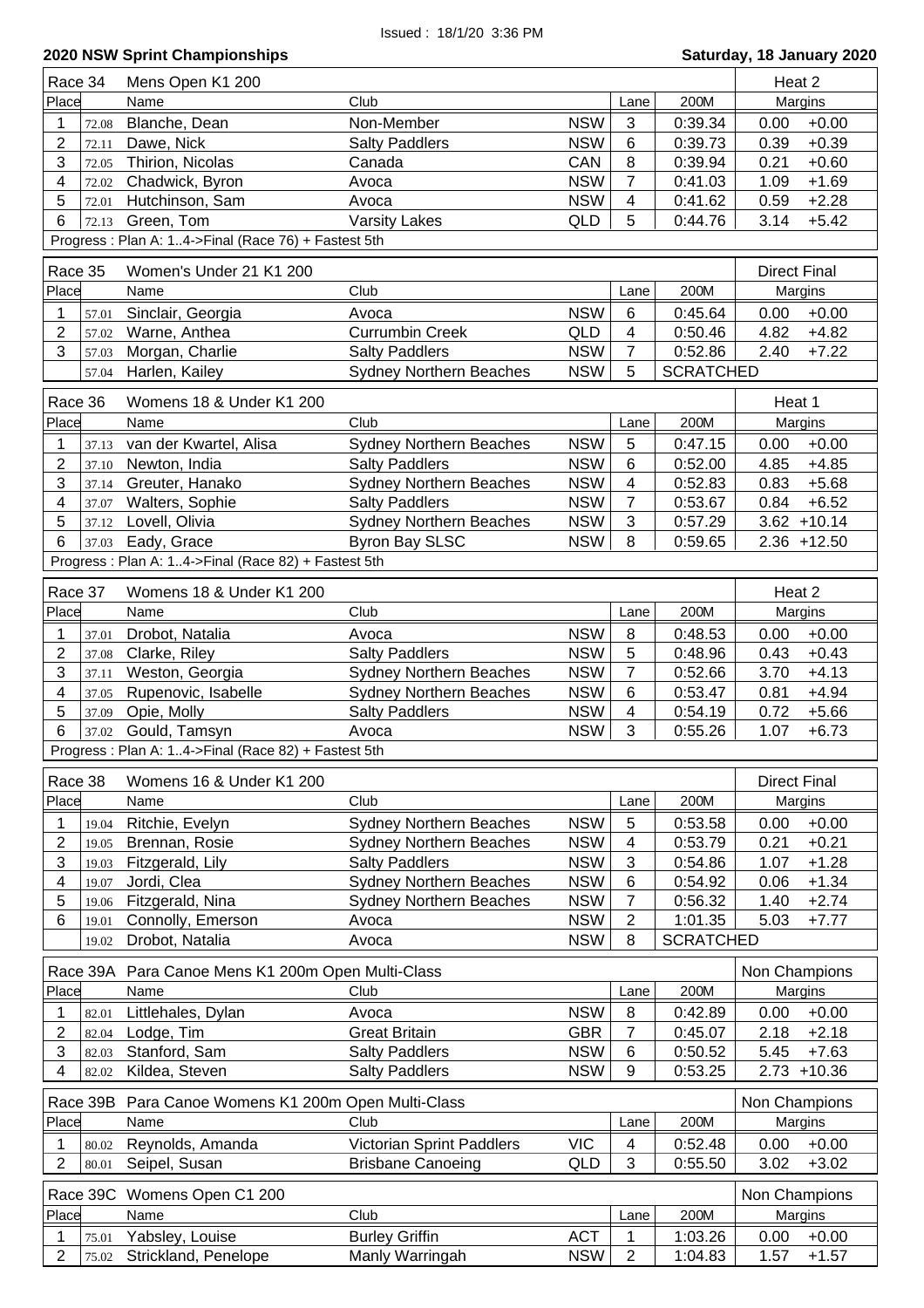| Race 34                          | Mens Open K1 200                                    |                                               |                          |                         |                    | Heat 2                             |
|----------------------------------|-----------------------------------------------------|-----------------------------------------------|--------------------------|-------------------------|--------------------|------------------------------------|
| Place                            | Name                                                | Club                                          |                          | Lane                    | 200M               | Margins                            |
| 1<br>72.08                       | Blanche, Dean                                       | Non-Member                                    | <b>NSW</b>               | 3                       | 0:39.34            | 0.00<br>$+0.00$                    |
| 2<br>72.11                       | Dawe, Nick                                          | <b>Salty Paddlers</b>                         | <b>NSW</b>               | 6                       | 0:39.73            | $+0.39$<br>0.39                    |
| 3<br>72.05                       | Thirion, Nicolas                                    | Canada                                        | CAN                      | 8                       | 0:39.94            | 0.21<br>$+0.60$                    |
| $\overline{\mathbf{4}}$<br>72.02 | Chadwick, Byron                                     | Avoca                                         | <b>NSW</b>               | $\overline{7}$          | 0:41.03            | 1.09<br>$+1.69$                    |
| 5<br>72.01                       | Hutchinson, Sam                                     | Avoca                                         | <b>NSW</b>               | 4                       | 0:41.62            | $+2.28$<br>0.59                    |
| 6<br>72.13                       | Green, Tom                                          | <b>Varsity Lakes</b>                          | <b>QLD</b>               | 5                       | 0:44.76            | 3.14<br>$+5.42$                    |
|                                  | Progress: Plan A: 14->Final (Race 76) + Fastest 5th |                                               |                          |                         |                    |                                    |
|                                  |                                                     |                                               |                          |                         |                    |                                    |
| Race 35                          | Women's Under 21 K1 200                             |                                               |                          |                         |                    | <b>Direct Final</b>                |
| Place                            | Name                                                | Club                                          |                          | Lane                    | 200M               | Margins                            |
| 1<br>57.01                       | Sinclair, Georgia                                   | Avoca                                         | <b>NSW</b>               | 6                       | 0:45.64            | $+0.00$<br>0.00                    |
| $\overline{2}$<br>57.02          | Warne, Anthea                                       | <b>Currumbin Creek</b>                        | QLD                      | $\overline{4}$          | 0:50.46            | 4.82<br>$+4.82$                    |
| 3<br>57.03                       | Morgan, Charlie                                     | <b>Salty Paddlers</b>                         | <b>NSW</b>               | $\overline{7}$          | 0:52.86            | 2.40<br>$+7.22$                    |
| 57.04                            | Harlen, Kailey                                      | <b>Sydney Northern Beaches</b>                | <b>NSW</b>               | 5                       | <b>SCRATCHED</b>   |                                    |
| Race 36                          | Womens 18 & Under K1 200                            |                                               |                          |                         |                    | Heat 1                             |
| Place                            | Name                                                | Club                                          |                          | Lane                    | 200M               | Margins                            |
| 1<br>37.13                       | van der Kwartel, Alisa                              | <b>Sydney Northern Beaches</b>                | <b>NSW</b>               | 5                       | 0:47.15            | $+0.00$<br>0.00                    |
| $\overline{2}$<br>37.10          | Newton, India                                       | <b>Salty Paddlers</b>                         | <b>NSW</b>               | 6                       | 0:52.00            | 4.85<br>$+4.85$                    |
| 3<br>37.14                       | Greuter, Hanako                                     | <b>Sydney Northern Beaches</b>                | <b>NSW</b>               | $\overline{\mathbf{4}}$ | 0:52.83            | 0.83<br>$+5.68$                    |
| $\overline{\mathbf{4}}$<br>37.07 | Walters, Sophie                                     | <b>Salty Paddlers</b>                         | <b>NSW</b>               | $\overline{7}$          | 0:53.67            | $+6.52$<br>0.84                    |
| 5<br>37.12                       | Lovell, Olivia                                      | <b>Sydney Northern Beaches</b>                | <b>NSW</b>               | 3                       | 0:57.29            | $3.62 + 10.14$                     |
| 6<br>37.03                       | Eady, Grace                                         | <b>Byron Bay SLSC</b>                         | <b>NSW</b>               | 8                       | 0:59.65            | $2.36 + 12.50$                     |
|                                  | Progress: Plan A: 14->Final (Race 82) + Fastest 5th |                                               |                          |                         |                    |                                    |
|                                  |                                                     |                                               |                          |                         |                    |                                    |
| Race 37                          | Womens 18 & Under K1 200                            |                                               |                          |                         |                    | Heat 2                             |
| Place                            | Name                                                | Club                                          |                          | Lane                    | 200M               | Margins                            |
| 1<br>37.01                       | Drobot, Natalia                                     | Avoca                                         | <b>NSW</b>               | 8                       | 0:48.53            | 0.00<br>$+0.00$                    |
| $\overline{2}$<br>37.08          | Clarke, Riley                                       | <b>Salty Paddlers</b>                         | <b>NSW</b>               | 5                       | 0:48.96            | $+0.43$<br>0.43                    |
| 3<br>37.11                       | Weston, Georgia                                     | <b>Sydney Northern Beaches</b>                | <b>NSW</b>               | $\overline{7}$          | 0:52.66            | $+4.13$<br>3.70                    |
| $\overline{\mathbf{4}}$<br>37.05 | Rupenovic, Isabelle                                 | <b>Sydney Northern Beaches</b>                | <b>NSW</b>               | 6                       | 0:53.47            | $+4.94$<br>0.81                    |
| 5<br>37.09                       | Opie, Molly                                         | <b>Salty Paddlers</b>                         | <b>NSW</b>               | $\overline{4}$          | 0:54.19            | 0.72<br>$+5.66$                    |
| 6<br>37.02                       | Gould, Tamsyn                                       | Avoca                                         | <b>NSW</b>               | 3                       | 0:55.26            | $+6.73$<br>1.07                    |
|                                  | Progress: Plan A: 14->Final (Race 82) + Fastest 5th |                                               |                          |                         |                    |                                    |
| Race 38                          | Womens 16 & Under K1 200                            |                                               |                          |                         |                    | <b>Direct Final</b>                |
| Place                            | Name                                                | Club                                          |                          | Lane                    | 200M               | Margins                            |
| 1<br>19.04                       | Ritchie, Evelyn                                     | <b>Sydney Northern Beaches</b>                | <b>NSW</b>               | 5                       | 0:53.58            | $+0.00$<br>0.00                    |
| 2<br>19.05                       | Brennan, Rosie                                      | <b>Sydney Northern Beaches</b>                | <b>NSW</b>               | 4                       | 0:53.79            | 0.21<br>$+0.21$                    |
| 3<br>19.03                       | Fitzgerald, Lily                                    | <b>Salty Paddlers</b>                         | <b>NSW</b>               | 3                       | 0:54.86            | 1.07<br>$+1.28$                    |
| $\overline{\mathbf{4}}$<br>19.07 | Jordi, Clea                                         | Sydney Northern Beaches                       | <b>NSW</b>               | 6                       | 0:54.92            | 0.06<br>$+1.34$                    |
| 5<br>19.06                       | Fitzgerald, Nina                                    | <b>Sydney Northern Beaches</b>                | <b>NSW</b>               | $\overline{7}$          | 0:56.32            | $+2.74$<br>1.40                    |
| 6<br>19.01                       | Connolly, Emerson                                   | Avoca                                         | <b>NSW</b>               | $\overline{2}$          | 1:01.35            | 5.03<br>$+7.77$                    |
| 19.02                            | Drobot, Natalia                                     | Avoca                                         | <b>NSW</b>               | 8                       | <b>SCRATCHED</b>   |                                    |
|                                  |                                                     |                                               |                          |                         |                    |                                    |
|                                  | Race 39A Para Canoe Mens K1 200m Open Multi-Class   |                                               |                          |                         |                    | Non Champions                      |
| Place                            | Name                                                | Club                                          |                          | Lane                    | 200M               | Margins                            |
| 1<br>82.01                       | Littlehales, Dylan                                  | Avoca                                         | <b>NSW</b>               | 8                       | 0:42.89            | 0.00<br>$+0.00$                    |
| $\overline{2}$<br>82.04<br>3     | Lodge, Tim                                          | <b>Great Britain</b><br><b>Salty Paddlers</b> | <b>GBR</b><br><b>NSW</b> | $\overline{7}$<br>6     | 0:45.07<br>0:50.52 | 2.18<br>$+2.18$<br>5.45<br>$+7.63$ |
| 82.03                            | Stanford, Sam                                       |                                               |                          |                         |                    |                                    |
| 4<br>82.02                       | Kildea, Steven                                      | <b>Salty Paddlers</b>                         | <b>NSW</b>               | 9                       | 0:53.25            | $2.73 + 10.36$                     |
| Race 39B                         | Para Canoe Womens K1 200m Open Multi-Class          |                                               |                          |                         |                    | Non Champions                      |
| Place                            | Name                                                | Club                                          |                          | Lane                    | 200M               | Margins                            |
| 1<br>80.02                       | Reynolds, Amanda                                    | Victorian Sprint Paddlers                     | <b>VIC</b>               | 4                       | 0:52.48            | 0.00<br>$+0.00$                    |
| $\overline{2}$<br>80.01          | Seipel, Susan                                       | <b>Brisbane Canoeing</b>                      | QLD                      | 3                       | 0:55.50            | 3.02<br>$+3.02$                    |
|                                  |                                                     |                                               |                          |                         |                    |                                    |
|                                  | Race 39C Womens Open C1 200                         |                                               |                          |                         |                    | Non Champions                      |
| Place                            | Name                                                | Club                                          |                          | Lane                    | 200M               | Margins                            |
| 1<br>75.01                       | Yabsley, Louise                                     | <b>Burley Griffin</b>                         | <b>ACT</b>               | 1                       | 1:03.26            | 0.00<br>$+0.00$                    |
| $\overline{2}$<br>75.02          | Strickland, Penelope                                | Manly Warringah                               | <b>NSW</b>               | $\overline{2}$          | 1:04.83            | 1.57<br>$+1.57$                    |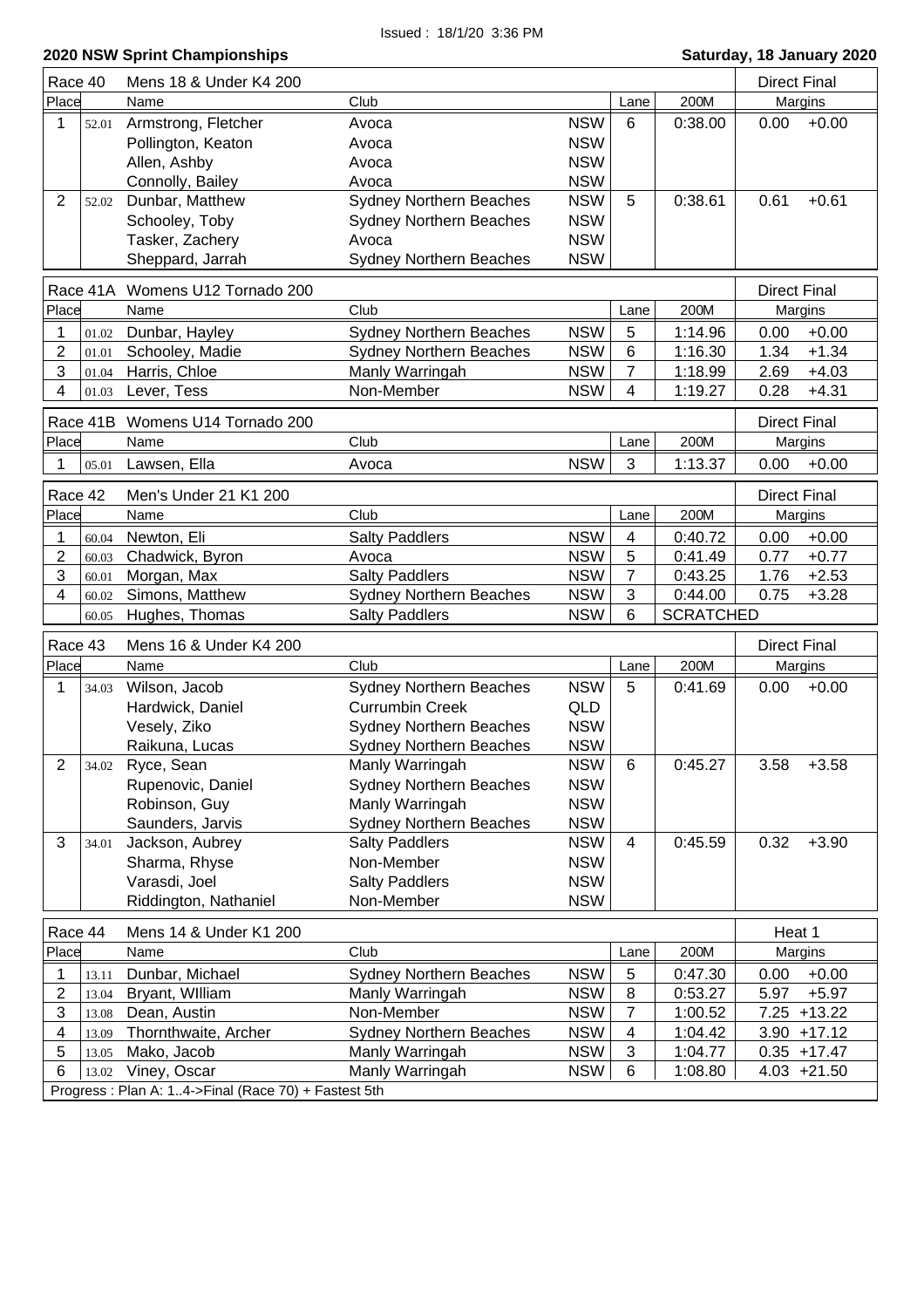|                         | Race 40  | Mens 18 & Under K4 200                                              |                                                          |                          |                     |                  | <b>Direct Final</b> |                |
|-------------------------|----------|---------------------------------------------------------------------|----------------------------------------------------------|--------------------------|---------------------|------------------|---------------------|----------------|
| Place                   |          | Name                                                                | Club                                                     |                          | Lane                | 200M             |                     | Margins        |
| 1                       | 52.01    | Armstrong, Fletcher                                                 | Avoca                                                    | <b>NSW</b>               | 6                   | 0:38.00          | 0.00                | $+0.00$        |
|                         |          | Pollington, Keaton                                                  | Avoca                                                    | <b>NSW</b>               |                     |                  |                     |                |
|                         |          | Allen, Ashby                                                        | Avoca                                                    | <b>NSW</b>               |                     |                  |                     |                |
|                         |          | Connolly, Bailey                                                    | Avoca                                                    | <b>NSW</b>               |                     |                  |                     |                |
| $\overline{2}$          | 52.02    | Dunbar, Matthew                                                     | Sydney Northern Beaches                                  | <b>NSW</b>               | 5                   | 0:38.61          | 0.61                | $+0.61$        |
|                         |          | Schooley, Toby                                                      | <b>Sydney Northern Beaches</b>                           | <b>NSW</b>               |                     |                  |                     |                |
|                         |          | Tasker, Zachery                                                     | Avoca                                                    | <b>NSW</b>               |                     |                  |                     |                |
|                         |          | Sheppard, Jarrah                                                    | <b>Sydney Northern Beaches</b>                           | <b>NSW</b>               |                     |                  |                     |                |
|                         | Race 41A | Womens U12 Tornado 200                                              |                                                          |                          |                     |                  | <b>Direct Final</b> |                |
| Place                   |          | Name                                                                | Club                                                     |                          | Lane                | 200M             | Margins             |                |
|                         |          |                                                                     |                                                          | <b>NSW</b>               |                     |                  |                     | $+0.00$        |
| 1                       | 01.02    | Dunbar, Hayley                                                      | <b>Sydney Northern Beaches</b>                           |                          | 5                   | 1:14.96          | 0.00                |                |
| 2                       | 01.01    | Schooley, Madie                                                     | <b>Sydney Northern Beaches</b>                           | <b>NSW</b>               | 6                   | 1:16.30          | 1.34                | $+1.34$        |
| 3<br>4                  | 01.04    | Harris, Chloe                                                       | Manly Warringah<br>Non-Member                            | <b>NSW</b><br><b>NSW</b> | 7<br>$\overline{4}$ | 1:18.99          | 2.69                | $+4.03$        |
|                         | 01.03    | Lever, Tess                                                         |                                                          |                          |                     | 1:19.27          | 0.28                | $+4.31$        |
|                         |          | Race 41B Womens U14 Tornado 200                                     |                                                          |                          |                     |                  | <b>Direct Final</b> |                |
| Place                   |          | Name                                                                | Club                                                     |                          | Lane                | 200M             |                     | Margins        |
|                         | 05.01    | Lawsen, Ella                                                        | Avoca                                                    | <b>NSW</b>               | 3                   | 1:13.37          | 0.00                | $+0.00$        |
|                         |          |                                                                     |                                                          |                          |                     |                  |                     |                |
| Race 42                 |          | Men's Under 21 K1 200                                               | Club                                                     |                          |                     | 200M             | <b>Direct Final</b> |                |
| Place                   |          | Name                                                                |                                                          |                          | Lane                |                  |                     | Margins        |
| 1                       | 60.04    | Newton, Eli                                                         | <b>Salty Paddlers</b>                                    | <b>NSW</b>               | 4                   | 0:40.72          | 0.00                | $+0.00$        |
| 2                       | 60.03    | Chadwick, Byron                                                     | Avoca                                                    | <b>NSW</b>               | 5                   | 0:41.49          | 0.77                | $+0.77$        |
| 3                       | 60.01    | Morgan, Max                                                         | <b>Salty Paddlers</b>                                    | <b>NSW</b>               | 7                   | 0:43.25          | 1.76                | $+2.53$        |
| $\overline{\mathbf{4}}$ | 60.02    | Simons, Matthew                                                     | Sydney Northern Beaches                                  | <b>NSW</b>               | 3                   | 0:44.00          | 0.75                | $+3.28$        |
|                         | 60.05    | Hughes, Thomas                                                      | <b>Salty Paddlers</b>                                    | <b>NSW</b>               | 6                   | <b>SCRATCHED</b> |                     |                |
|                         |          |                                                                     |                                                          |                          |                     |                  |                     |                |
| Race 43                 |          | Mens 16 & Under K4 200                                              |                                                          |                          |                     |                  | <b>Direct Final</b> |                |
| Place                   |          | Name                                                                | Club                                                     |                          | Lane                | 200M             | Margins             |                |
| 1                       | 34.03    |                                                                     |                                                          |                          | 5                   |                  |                     |                |
|                         |          | Wilson, Jacob                                                       | <b>Sydney Northern Beaches</b><br><b>Currumbin Creek</b> | <b>NSW</b>               |                     | 0:41.69          | 0.00                | $+0.00$        |
|                         |          | Hardwick, Daniel                                                    |                                                          | QLD                      |                     |                  |                     |                |
|                         |          | Vesely, Ziko                                                        | <b>Sydney Northern Beaches</b>                           | <b>NSW</b>               |                     |                  |                     |                |
|                         |          | Raikuna, Lucas                                                      | <b>Sydney Northern Beaches</b>                           | <b>NSW</b>               | 6                   |                  |                     |                |
| 2                       | 34.02    | Ryce, Sean                                                          | Manly Warringah                                          | <b>NSW</b>               |                     | 0:45.27          | 3.58                | $+3.58$        |
|                         |          | Rupenovic, Daniel                                                   | <b>Sydney Northern Beaches</b>                           | <b>NSW</b>               |                     |                  |                     |                |
|                         |          | Robinson, Guy                                                       | Manly Warringah                                          | <b>NSW</b>               |                     |                  |                     |                |
| 3                       | 34.01    | Saunders, Jarvis                                                    | <b>Sydney Northern Beaches</b>                           | <b>NSW</b><br><b>NSW</b> | 4                   | 0:45.59          | 0.32                | $+3.90$        |
|                         |          | Jackson, Aubrey                                                     | <b>Salty Paddlers</b><br>Non-Member                      |                          |                     |                  |                     |                |
|                         |          | Sharma, Rhyse                                                       |                                                          | <b>NSW</b>               |                     |                  |                     |                |
|                         |          | Varasdi, Joel                                                       | <b>Salty Paddlers</b><br>Non-Member                      | <b>NSW</b><br><b>NSW</b> |                     |                  |                     |                |
|                         |          | Riddington, Nathaniel                                               |                                                          |                          |                     |                  |                     |                |
| Race 44                 |          | Mens 14 & Under K1 200                                              |                                                          |                          |                     |                  | Heat 1              |                |
| Place                   |          | Name                                                                | Club                                                     |                          | Lane                | 200M             |                     | Margins        |
| 1                       | 13.11    | Dunbar, Michael                                                     | <b>Sydney Northern Beaches</b>                           | <b>NSW</b>               | 5                   | 0:47.30          | 0.00                | $+0.00$        |
| 2                       | 13.04    | Bryant, William                                                     | Manly Warringah                                          | <b>NSW</b>               | 8                   | 0:53.27          | 5.97                | $+5.97$        |
| 3                       | 13.08    | Dean, Austin                                                        | Non-Member                                               | <b>NSW</b>               | 7                   | 1:00.52          |                     | $7.25 + 13.22$ |
| 4                       | 13.09    | Thornthwaite, Archer                                                | <b>Sydney Northern Beaches</b>                           | <b>NSW</b>               | 4                   | 1:04.42          |                     | $3.90 + 17.12$ |
| 5                       | 13.05    | Mako, Jacob                                                         | Manly Warringah                                          | <b>NSW</b>               | 3                   | 1:04.77          |                     | $0.35 + 17.47$ |
| 6                       | 13.02    | Viney, Oscar<br>Progress: Plan A: 14->Final (Race 70) + Fastest 5th | Manly Warringah                                          | <b>NSW</b>               | 6                   | 1:08.80          |                     | $4.03 +21.50$  |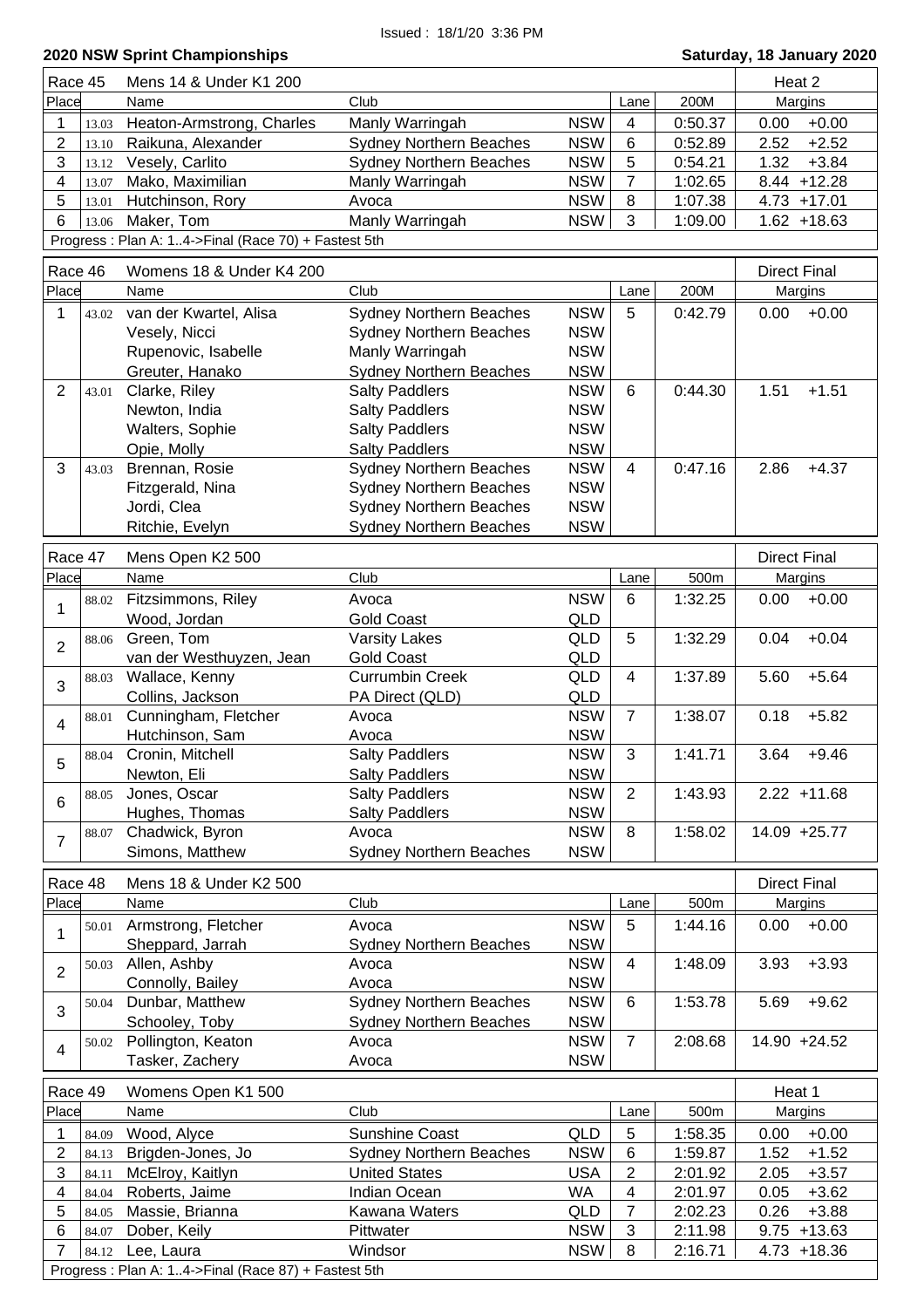| Race 45<br>Mens 14 & Under K1 200<br>Heat 2<br>Place<br>Club<br>200M<br>Name<br>Margins<br>Lane<br><b>NSW</b><br>$+0.00$<br>1<br>Heaton-Armstrong, Charles<br>Manly Warringah<br>$\overline{4}$<br>0:50.37<br>0.00<br>13.03<br>$\overline{2}$<br><b>NSW</b><br>$+2.52$<br>Raikuna, Alexander<br><b>Sydney Northern Beaches</b><br>6<br>0:52.89<br>2.52<br>13.10<br>3<br><b>NSW</b><br>1.32<br>$+3.84$<br>Vesely, Carlito<br><b>Sydney Northern Beaches</b><br>5<br>0:54.21<br>13.12<br>$\overline{7}$<br>4<br>Mako, Maximilian<br><b>NSW</b><br>Manly Warringah<br>1:02.65<br>13.07<br>5<br><b>NSW</b><br>Hutchinson, Rory<br>Avoca<br>8<br>1:07.38<br>$4.73 + 17.01$<br>13.01<br>Maker, Tom<br>Manly Warringah<br>6<br><b>NSW</b><br>3<br>1:09.00<br>$1.62 + 18.63$<br>13.06<br>Progress: Plan A: 14->Final (Race 70) + Fastest 5th<br>Race 46<br>Womens 18 & Under K4 200<br><b>Direct Final</b><br>Place<br>Club<br>200M<br>Name<br>Lane<br>Margins<br><b>NSW</b><br>5<br>$+0.00$<br>1<br>van der Kwartel, Alisa<br><b>Sydney Northern Beaches</b><br>0:42.79<br>0.00<br>43.02<br><b>NSW</b><br>Vesely, Nicci<br><b>Sydney Northern Beaches</b><br><b>NSW</b><br>Rupenovic, Isabelle<br>Manly Warringah<br>Sydney Northern Beaches<br>Greuter, Hanako<br><b>NSW</b><br><b>NSW</b><br>$\overline{2}$<br>Clarke, Riley<br><b>Salty Paddlers</b><br>0:44.30<br>1.51<br>$+1.51$<br>6<br>43.01<br><b>NSW</b><br>Newton, India<br><b>Salty Paddlers</b><br><b>Salty Paddlers</b><br><b>NSW</b><br>Walters, Sophie<br><b>NSW</b><br><b>Salty Paddlers</b><br>Opie, Molly<br>3<br>Sydney Northern Beaches<br><b>NSW</b><br>0:47.16<br>Brennan, Rosie<br>2.86<br>$+4.37$<br>4<br>43.03<br><b>NSW</b><br>Fitzgerald, Nina<br><b>Sydney Northern Beaches</b><br><b>Sydney Northern Beaches</b><br><b>NSW</b><br>Jordi, Clea<br><b>NSW</b><br>Ritchie, Evelyn<br><b>Sydney Northern Beaches</b><br>Race 47<br>Mens Open K2 500<br><b>Direct Final</b><br>Place<br>Club<br>500m<br>Name<br>Margins<br>Lane<br><b>NSW</b><br>Fitzsimmons, Riley<br>6<br>1:32.25<br>$+0.00$<br>Avoca<br>0.00<br>88.02<br>1<br>Wood, Jordan<br>QLD<br><b>Gold Coast</b><br>Green, Tom<br>5<br>1:32.29<br><b>Varsity Lakes</b><br>QLD<br>0.04<br>88.06<br>$\overline{2}$<br>van der Westhuyzen, Jean<br><b>Gold Coast</b><br>QLD<br>1:37.89<br>Wallace, Kenny<br><b>Currumbin Creek</b><br>QLD<br>5.60<br>$+5.64$<br>4<br>88.03<br>3<br>Collins, Jackson<br>QLD<br>PA Direct (QLD)<br><b>NSW</b><br>Cunningham, Fletcher<br>$\overline{7}$<br>1:38.07<br>$+5.82$<br>Avoca<br>0.18<br>88.01<br>$\overline{4}$<br>Hutchinson, Sam<br><b>NSW</b><br>Avoca<br><b>NSW</b><br>3<br><b>Salty Paddlers</b><br>3.64<br>88.04 Cronin, Mitchell<br>1:41.71<br>$+9.46$<br>5<br><b>NSW</b><br><b>Salty Paddlers</b><br>Newton, Eli<br>Jones, Oscar<br><b>Salty Paddlers</b><br><b>NSW</b><br>$\overline{2}$<br>$2.22 + 11.68$<br>1:43.93<br>88.05<br>6<br><b>NSW</b><br>Hughes, Thomas<br><b>Salty Paddlers</b><br>Chadwick, Byron<br><b>NSW</b><br>8<br>1:58.02<br>14.09 +25.77<br>Avoca<br>88.07<br>$\overline{7}$<br>Simons, Matthew<br><b>NSW</b><br><b>Sydney Northern Beaches</b><br>Race 48<br><b>Direct Final</b><br>Mens 18 & Under K2 500<br>Place<br>Margins<br>Name<br>Club<br>500m<br>Lane<br>Armstrong, Fletcher<br><b>NSW</b><br>5<br>1:44.16<br>0.00<br>$+0.00$<br>Avoca<br>50.01<br>1<br><b>NSW</b><br>Sheppard, Jarrah<br><b>Sydney Northern Beaches</b><br>Allen, Ashby<br><b>NSW</b><br>1:48.09<br>3.93<br>Avoca<br>4<br>50.03<br>$\overline{2}$<br><b>NSW</b><br>Connolly, Bailey<br>Avoca<br><b>Sydney Northern Beaches</b><br><b>NSW</b><br>Dunbar, Matthew<br>1:53.78<br>5.69<br>$+9.62$<br>6<br>50.04<br>3<br>Schooley, Toby<br><b>NSW</b><br><b>Sydney Northern Beaches</b><br>Pollington, Keaton<br><b>NSW</b><br>2:08.68<br>Avoca<br>$\overline{7}$<br>14.90 +24.52<br>50.02<br>$\overline{4}$<br><b>NSW</b><br>Tasker, Zachery<br>Avoca<br>Race 49<br>Womens Open K1 500<br>Heat 1<br>Club<br>Place<br>500m<br>Name<br>Margins<br>Lane<br><b>Sunshine Coast</b><br>QLD<br>1:58.35<br>1<br>Wood, Alyce<br>5<br>0.00<br>84.09<br>$\overline{2}$<br><b>NSW</b><br>1:59.87<br>1.52<br>Brigden-Jones, Jo<br><b>Sydney Northern Beaches</b><br>6<br>84.13<br>3<br><b>United States</b><br><b>USA</b><br>$\overline{c}$<br>2.05<br>McElroy, Kaitlyn<br>2:01.92<br>84.11<br>Roberts, Jaime<br><b>WA</b><br>4<br>Indian Ocean<br>4<br>2:01.97<br>0.05<br>84.04<br>$\overline{7}$<br>5<br>0.26<br>Massie, Brianna<br>Kawana Waters<br>QLD<br>2:02.23<br>84.05<br><b>NSW</b><br>3<br>6<br>Dober, Keily<br>Pittwater<br>2:11.98<br>84.07<br>Windsor<br><b>NSW</b><br>2:16.71<br>7<br>Lee, Laura<br>8<br>84.12 |  |  |  |                |  |
|-------------------------------------------------------------------------------------------------------------------------------------------------------------------------------------------------------------------------------------------------------------------------------------------------------------------------------------------------------------------------------------------------------------------------------------------------------------------------------------------------------------------------------------------------------------------------------------------------------------------------------------------------------------------------------------------------------------------------------------------------------------------------------------------------------------------------------------------------------------------------------------------------------------------------------------------------------------------------------------------------------------------------------------------------------------------------------------------------------------------------------------------------------------------------------------------------------------------------------------------------------------------------------------------------------------------------------------------------------------------------------------------------------------------------------------------------------------------------------------------------------------------------------------------------------------------------------------------------------------------------------------------------------------------------------------------------------------------------------------------------------------------------------------------------------------------------------------------------------------------------------------------------------------------------------------------------------------------------------------------------------------------------------------------------------------------------------------------------------------------------------------------------------------------------------------------------------------------------------------------------------------------------------------------------------------------------------------------------------------------------------------------------------------------------------------------------------------------------------------------------------------------------------------------------------------------------------------------------------------------------------------------------------------------------------------------------------------------------------------------------------------------------------------------------------------------------------------------------------------------------------------------------------------------------------------------------------------------------------------------------------------------------------------------------------------------------------------------------------------------------------------------------------------------------------------------------------------------------------------------------------------------------------------------------------------------------------------------------------------------------------------------------------------------------------------------------------------------------------------------------------------------------------------------------------------------------------------------------------------------------------------------------------------------------------------------------------------------------------------------------------------------------------------------------------------------------------------------------------------------------------------------------------------------------------------------------------------------------------------------------------------------------------------------------------------------------------------------------------------------------------------------------------------------------------------------------------------------------------------------------------------------------------------------------------------------------------------------------------------------------------------------------------------------------------------------------------------------------------------------------------------------------------------------------------------------------------------------------------------------------------------------------------------------------------------|--|--|--|----------------|--|
|                                                                                                                                                                                                                                                                                                                                                                                                                                                                                                                                                                                                                                                                                                                                                                                                                                                                                                                                                                                                                                                                                                                                                                                                                                                                                                                                                                                                                                                                                                                                                                                                                                                                                                                                                                                                                                                                                                                                                                                                                                                                                                                                                                                                                                                                                                                                                                                                                                                                                                                                                                                                                                                                                                                                                                                                                                                                                                                                                                                                                                                                                                                                                                                                                                                                                                                                                                                                                                                                                                                                                                                                                                                                                                                                                                                                                                                                                                                                                                                                                                                                                                                                                                                                                                                                                                                                                                                                                                                                                                                                                                                                                                                                                     |  |  |  |                |  |
|                                                                                                                                                                                                                                                                                                                                                                                                                                                                                                                                                                                                                                                                                                                                                                                                                                                                                                                                                                                                                                                                                                                                                                                                                                                                                                                                                                                                                                                                                                                                                                                                                                                                                                                                                                                                                                                                                                                                                                                                                                                                                                                                                                                                                                                                                                                                                                                                                                                                                                                                                                                                                                                                                                                                                                                                                                                                                                                                                                                                                                                                                                                                                                                                                                                                                                                                                                                                                                                                                                                                                                                                                                                                                                                                                                                                                                                                                                                                                                                                                                                                                                                                                                                                                                                                                                                                                                                                                                                                                                                                                                                                                                                                                     |  |  |  |                |  |
|                                                                                                                                                                                                                                                                                                                                                                                                                                                                                                                                                                                                                                                                                                                                                                                                                                                                                                                                                                                                                                                                                                                                                                                                                                                                                                                                                                                                                                                                                                                                                                                                                                                                                                                                                                                                                                                                                                                                                                                                                                                                                                                                                                                                                                                                                                                                                                                                                                                                                                                                                                                                                                                                                                                                                                                                                                                                                                                                                                                                                                                                                                                                                                                                                                                                                                                                                                                                                                                                                                                                                                                                                                                                                                                                                                                                                                                                                                                                                                                                                                                                                                                                                                                                                                                                                                                                                                                                                                                                                                                                                                                                                                                                                     |  |  |  |                |  |
|                                                                                                                                                                                                                                                                                                                                                                                                                                                                                                                                                                                                                                                                                                                                                                                                                                                                                                                                                                                                                                                                                                                                                                                                                                                                                                                                                                                                                                                                                                                                                                                                                                                                                                                                                                                                                                                                                                                                                                                                                                                                                                                                                                                                                                                                                                                                                                                                                                                                                                                                                                                                                                                                                                                                                                                                                                                                                                                                                                                                                                                                                                                                                                                                                                                                                                                                                                                                                                                                                                                                                                                                                                                                                                                                                                                                                                                                                                                                                                                                                                                                                                                                                                                                                                                                                                                                                                                                                                                                                                                                                                                                                                                                                     |  |  |  |                |  |
|                                                                                                                                                                                                                                                                                                                                                                                                                                                                                                                                                                                                                                                                                                                                                                                                                                                                                                                                                                                                                                                                                                                                                                                                                                                                                                                                                                                                                                                                                                                                                                                                                                                                                                                                                                                                                                                                                                                                                                                                                                                                                                                                                                                                                                                                                                                                                                                                                                                                                                                                                                                                                                                                                                                                                                                                                                                                                                                                                                                                                                                                                                                                                                                                                                                                                                                                                                                                                                                                                                                                                                                                                                                                                                                                                                                                                                                                                                                                                                                                                                                                                                                                                                                                                                                                                                                                                                                                                                                                                                                                                                                                                                                                                     |  |  |  |                |  |
|                                                                                                                                                                                                                                                                                                                                                                                                                                                                                                                                                                                                                                                                                                                                                                                                                                                                                                                                                                                                                                                                                                                                                                                                                                                                                                                                                                                                                                                                                                                                                                                                                                                                                                                                                                                                                                                                                                                                                                                                                                                                                                                                                                                                                                                                                                                                                                                                                                                                                                                                                                                                                                                                                                                                                                                                                                                                                                                                                                                                                                                                                                                                                                                                                                                                                                                                                                                                                                                                                                                                                                                                                                                                                                                                                                                                                                                                                                                                                                                                                                                                                                                                                                                                                                                                                                                                                                                                                                                                                                                                                                                                                                                                                     |  |  |  |                |  |
|                                                                                                                                                                                                                                                                                                                                                                                                                                                                                                                                                                                                                                                                                                                                                                                                                                                                                                                                                                                                                                                                                                                                                                                                                                                                                                                                                                                                                                                                                                                                                                                                                                                                                                                                                                                                                                                                                                                                                                                                                                                                                                                                                                                                                                                                                                                                                                                                                                                                                                                                                                                                                                                                                                                                                                                                                                                                                                                                                                                                                                                                                                                                                                                                                                                                                                                                                                                                                                                                                                                                                                                                                                                                                                                                                                                                                                                                                                                                                                                                                                                                                                                                                                                                                                                                                                                                                                                                                                                                                                                                                                                                                                                                                     |  |  |  | $8.44 + 12.28$ |  |
|                                                                                                                                                                                                                                                                                                                                                                                                                                                                                                                                                                                                                                                                                                                                                                                                                                                                                                                                                                                                                                                                                                                                                                                                                                                                                                                                                                                                                                                                                                                                                                                                                                                                                                                                                                                                                                                                                                                                                                                                                                                                                                                                                                                                                                                                                                                                                                                                                                                                                                                                                                                                                                                                                                                                                                                                                                                                                                                                                                                                                                                                                                                                                                                                                                                                                                                                                                                                                                                                                                                                                                                                                                                                                                                                                                                                                                                                                                                                                                                                                                                                                                                                                                                                                                                                                                                                                                                                                                                                                                                                                                                                                                                                                     |  |  |  |                |  |
|                                                                                                                                                                                                                                                                                                                                                                                                                                                                                                                                                                                                                                                                                                                                                                                                                                                                                                                                                                                                                                                                                                                                                                                                                                                                                                                                                                                                                                                                                                                                                                                                                                                                                                                                                                                                                                                                                                                                                                                                                                                                                                                                                                                                                                                                                                                                                                                                                                                                                                                                                                                                                                                                                                                                                                                                                                                                                                                                                                                                                                                                                                                                                                                                                                                                                                                                                                                                                                                                                                                                                                                                                                                                                                                                                                                                                                                                                                                                                                                                                                                                                                                                                                                                                                                                                                                                                                                                                                                                                                                                                                                                                                                                                     |  |  |  |                |  |
|                                                                                                                                                                                                                                                                                                                                                                                                                                                                                                                                                                                                                                                                                                                                                                                                                                                                                                                                                                                                                                                                                                                                                                                                                                                                                                                                                                                                                                                                                                                                                                                                                                                                                                                                                                                                                                                                                                                                                                                                                                                                                                                                                                                                                                                                                                                                                                                                                                                                                                                                                                                                                                                                                                                                                                                                                                                                                                                                                                                                                                                                                                                                                                                                                                                                                                                                                                                                                                                                                                                                                                                                                                                                                                                                                                                                                                                                                                                                                                                                                                                                                                                                                                                                                                                                                                                                                                                                                                                                                                                                                                                                                                                                                     |  |  |  |                |  |
|                                                                                                                                                                                                                                                                                                                                                                                                                                                                                                                                                                                                                                                                                                                                                                                                                                                                                                                                                                                                                                                                                                                                                                                                                                                                                                                                                                                                                                                                                                                                                                                                                                                                                                                                                                                                                                                                                                                                                                                                                                                                                                                                                                                                                                                                                                                                                                                                                                                                                                                                                                                                                                                                                                                                                                                                                                                                                                                                                                                                                                                                                                                                                                                                                                                                                                                                                                                                                                                                                                                                                                                                                                                                                                                                                                                                                                                                                                                                                                                                                                                                                                                                                                                                                                                                                                                                                                                                                                                                                                                                                                                                                                                                                     |  |  |  |                |  |
|                                                                                                                                                                                                                                                                                                                                                                                                                                                                                                                                                                                                                                                                                                                                                                                                                                                                                                                                                                                                                                                                                                                                                                                                                                                                                                                                                                                                                                                                                                                                                                                                                                                                                                                                                                                                                                                                                                                                                                                                                                                                                                                                                                                                                                                                                                                                                                                                                                                                                                                                                                                                                                                                                                                                                                                                                                                                                                                                                                                                                                                                                                                                                                                                                                                                                                                                                                                                                                                                                                                                                                                                                                                                                                                                                                                                                                                                                                                                                                                                                                                                                                                                                                                                                                                                                                                                                                                                                                                                                                                                                                                                                                                                                     |  |  |  |                |  |
|                                                                                                                                                                                                                                                                                                                                                                                                                                                                                                                                                                                                                                                                                                                                                                                                                                                                                                                                                                                                                                                                                                                                                                                                                                                                                                                                                                                                                                                                                                                                                                                                                                                                                                                                                                                                                                                                                                                                                                                                                                                                                                                                                                                                                                                                                                                                                                                                                                                                                                                                                                                                                                                                                                                                                                                                                                                                                                                                                                                                                                                                                                                                                                                                                                                                                                                                                                                                                                                                                                                                                                                                                                                                                                                                                                                                                                                                                                                                                                                                                                                                                                                                                                                                                                                                                                                                                                                                                                                                                                                                                                                                                                                                                     |  |  |  |                |  |
|                                                                                                                                                                                                                                                                                                                                                                                                                                                                                                                                                                                                                                                                                                                                                                                                                                                                                                                                                                                                                                                                                                                                                                                                                                                                                                                                                                                                                                                                                                                                                                                                                                                                                                                                                                                                                                                                                                                                                                                                                                                                                                                                                                                                                                                                                                                                                                                                                                                                                                                                                                                                                                                                                                                                                                                                                                                                                                                                                                                                                                                                                                                                                                                                                                                                                                                                                                                                                                                                                                                                                                                                                                                                                                                                                                                                                                                                                                                                                                                                                                                                                                                                                                                                                                                                                                                                                                                                                                                                                                                                                                                                                                                                                     |  |  |  |                |  |
|                                                                                                                                                                                                                                                                                                                                                                                                                                                                                                                                                                                                                                                                                                                                                                                                                                                                                                                                                                                                                                                                                                                                                                                                                                                                                                                                                                                                                                                                                                                                                                                                                                                                                                                                                                                                                                                                                                                                                                                                                                                                                                                                                                                                                                                                                                                                                                                                                                                                                                                                                                                                                                                                                                                                                                                                                                                                                                                                                                                                                                                                                                                                                                                                                                                                                                                                                                                                                                                                                                                                                                                                                                                                                                                                                                                                                                                                                                                                                                                                                                                                                                                                                                                                                                                                                                                                                                                                                                                                                                                                                                                                                                                                                     |  |  |  |                |  |
|                                                                                                                                                                                                                                                                                                                                                                                                                                                                                                                                                                                                                                                                                                                                                                                                                                                                                                                                                                                                                                                                                                                                                                                                                                                                                                                                                                                                                                                                                                                                                                                                                                                                                                                                                                                                                                                                                                                                                                                                                                                                                                                                                                                                                                                                                                                                                                                                                                                                                                                                                                                                                                                                                                                                                                                                                                                                                                                                                                                                                                                                                                                                                                                                                                                                                                                                                                                                                                                                                                                                                                                                                                                                                                                                                                                                                                                                                                                                                                                                                                                                                                                                                                                                                                                                                                                                                                                                                                                                                                                                                                                                                                                                                     |  |  |  |                |  |
|                                                                                                                                                                                                                                                                                                                                                                                                                                                                                                                                                                                                                                                                                                                                                                                                                                                                                                                                                                                                                                                                                                                                                                                                                                                                                                                                                                                                                                                                                                                                                                                                                                                                                                                                                                                                                                                                                                                                                                                                                                                                                                                                                                                                                                                                                                                                                                                                                                                                                                                                                                                                                                                                                                                                                                                                                                                                                                                                                                                                                                                                                                                                                                                                                                                                                                                                                                                                                                                                                                                                                                                                                                                                                                                                                                                                                                                                                                                                                                                                                                                                                                                                                                                                                                                                                                                                                                                                                                                                                                                                                                                                                                                                                     |  |  |  |                |  |
|                                                                                                                                                                                                                                                                                                                                                                                                                                                                                                                                                                                                                                                                                                                                                                                                                                                                                                                                                                                                                                                                                                                                                                                                                                                                                                                                                                                                                                                                                                                                                                                                                                                                                                                                                                                                                                                                                                                                                                                                                                                                                                                                                                                                                                                                                                                                                                                                                                                                                                                                                                                                                                                                                                                                                                                                                                                                                                                                                                                                                                                                                                                                                                                                                                                                                                                                                                                                                                                                                                                                                                                                                                                                                                                                                                                                                                                                                                                                                                                                                                                                                                                                                                                                                                                                                                                                                                                                                                                                                                                                                                                                                                                                                     |  |  |  |                |  |
|                                                                                                                                                                                                                                                                                                                                                                                                                                                                                                                                                                                                                                                                                                                                                                                                                                                                                                                                                                                                                                                                                                                                                                                                                                                                                                                                                                                                                                                                                                                                                                                                                                                                                                                                                                                                                                                                                                                                                                                                                                                                                                                                                                                                                                                                                                                                                                                                                                                                                                                                                                                                                                                                                                                                                                                                                                                                                                                                                                                                                                                                                                                                                                                                                                                                                                                                                                                                                                                                                                                                                                                                                                                                                                                                                                                                                                                                                                                                                                                                                                                                                                                                                                                                                                                                                                                                                                                                                                                                                                                                                                                                                                                                                     |  |  |  |                |  |
|                                                                                                                                                                                                                                                                                                                                                                                                                                                                                                                                                                                                                                                                                                                                                                                                                                                                                                                                                                                                                                                                                                                                                                                                                                                                                                                                                                                                                                                                                                                                                                                                                                                                                                                                                                                                                                                                                                                                                                                                                                                                                                                                                                                                                                                                                                                                                                                                                                                                                                                                                                                                                                                                                                                                                                                                                                                                                                                                                                                                                                                                                                                                                                                                                                                                                                                                                                                                                                                                                                                                                                                                                                                                                                                                                                                                                                                                                                                                                                                                                                                                                                                                                                                                                                                                                                                                                                                                                                                                                                                                                                                                                                                                                     |  |  |  |                |  |
|                                                                                                                                                                                                                                                                                                                                                                                                                                                                                                                                                                                                                                                                                                                                                                                                                                                                                                                                                                                                                                                                                                                                                                                                                                                                                                                                                                                                                                                                                                                                                                                                                                                                                                                                                                                                                                                                                                                                                                                                                                                                                                                                                                                                                                                                                                                                                                                                                                                                                                                                                                                                                                                                                                                                                                                                                                                                                                                                                                                                                                                                                                                                                                                                                                                                                                                                                                                                                                                                                                                                                                                                                                                                                                                                                                                                                                                                                                                                                                                                                                                                                                                                                                                                                                                                                                                                                                                                                                                                                                                                                                                                                                                                                     |  |  |  |                |  |
|                                                                                                                                                                                                                                                                                                                                                                                                                                                                                                                                                                                                                                                                                                                                                                                                                                                                                                                                                                                                                                                                                                                                                                                                                                                                                                                                                                                                                                                                                                                                                                                                                                                                                                                                                                                                                                                                                                                                                                                                                                                                                                                                                                                                                                                                                                                                                                                                                                                                                                                                                                                                                                                                                                                                                                                                                                                                                                                                                                                                                                                                                                                                                                                                                                                                                                                                                                                                                                                                                                                                                                                                                                                                                                                                                                                                                                                                                                                                                                                                                                                                                                                                                                                                                                                                                                                                                                                                                                                                                                                                                                                                                                                                                     |  |  |  |                |  |
|                                                                                                                                                                                                                                                                                                                                                                                                                                                                                                                                                                                                                                                                                                                                                                                                                                                                                                                                                                                                                                                                                                                                                                                                                                                                                                                                                                                                                                                                                                                                                                                                                                                                                                                                                                                                                                                                                                                                                                                                                                                                                                                                                                                                                                                                                                                                                                                                                                                                                                                                                                                                                                                                                                                                                                                                                                                                                                                                                                                                                                                                                                                                                                                                                                                                                                                                                                                                                                                                                                                                                                                                                                                                                                                                                                                                                                                                                                                                                                                                                                                                                                                                                                                                                                                                                                                                                                                                                                                                                                                                                                                                                                                                                     |  |  |  |                |  |
|                                                                                                                                                                                                                                                                                                                                                                                                                                                                                                                                                                                                                                                                                                                                                                                                                                                                                                                                                                                                                                                                                                                                                                                                                                                                                                                                                                                                                                                                                                                                                                                                                                                                                                                                                                                                                                                                                                                                                                                                                                                                                                                                                                                                                                                                                                                                                                                                                                                                                                                                                                                                                                                                                                                                                                                                                                                                                                                                                                                                                                                                                                                                                                                                                                                                                                                                                                                                                                                                                                                                                                                                                                                                                                                                                                                                                                                                                                                                                                                                                                                                                                                                                                                                                                                                                                                                                                                                                                                                                                                                                                                                                                                                                     |  |  |  |                |  |
|                                                                                                                                                                                                                                                                                                                                                                                                                                                                                                                                                                                                                                                                                                                                                                                                                                                                                                                                                                                                                                                                                                                                                                                                                                                                                                                                                                                                                                                                                                                                                                                                                                                                                                                                                                                                                                                                                                                                                                                                                                                                                                                                                                                                                                                                                                                                                                                                                                                                                                                                                                                                                                                                                                                                                                                                                                                                                                                                                                                                                                                                                                                                                                                                                                                                                                                                                                                                                                                                                                                                                                                                                                                                                                                                                                                                                                                                                                                                                                                                                                                                                                                                                                                                                                                                                                                                                                                                                                                                                                                                                                                                                                                                                     |  |  |  |                |  |
|                                                                                                                                                                                                                                                                                                                                                                                                                                                                                                                                                                                                                                                                                                                                                                                                                                                                                                                                                                                                                                                                                                                                                                                                                                                                                                                                                                                                                                                                                                                                                                                                                                                                                                                                                                                                                                                                                                                                                                                                                                                                                                                                                                                                                                                                                                                                                                                                                                                                                                                                                                                                                                                                                                                                                                                                                                                                                                                                                                                                                                                                                                                                                                                                                                                                                                                                                                                                                                                                                                                                                                                                                                                                                                                                                                                                                                                                                                                                                                                                                                                                                                                                                                                                                                                                                                                                                                                                                                                                                                                                                                                                                                                                                     |  |  |  |                |  |
|                                                                                                                                                                                                                                                                                                                                                                                                                                                                                                                                                                                                                                                                                                                                                                                                                                                                                                                                                                                                                                                                                                                                                                                                                                                                                                                                                                                                                                                                                                                                                                                                                                                                                                                                                                                                                                                                                                                                                                                                                                                                                                                                                                                                                                                                                                                                                                                                                                                                                                                                                                                                                                                                                                                                                                                                                                                                                                                                                                                                                                                                                                                                                                                                                                                                                                                                                                                                                                                                                                                                                                                                                                                                                                                                                                                                                                                                                                                                                                                                                                                                                                                                                                                                                                                                                                                                                                                                                                                                                                                                                                                                                                                                                     |  |  |  |                |  |
|                                                                                                                                                                                                                                                                                                                                                                                                                                                                                                                                                                                                                                                                                                                                                                                                                                                                                                                                                                                                                                                                                                                                                                                                                                                                                                                                                                                                                                                                                                                                                                                                                                                                                                                                                                                                                                                                                                                                                                                                                                                                                                                                                                                                                                                                                                                                                                                                                                                                                                                                                                                                                                                                                                                                                                                                                                                                                                                                                                                                                                                                                                                                                                                                                                                                                                                                                                                                                                                                                                                                                                                                                                                                                                                                                                                                                                                                                                                                                                                                                                                                                                                                                                                                                                                                                                                                                                                                                                                                                                                                                                                                                                                                                     |  |  |  |                |  |
|                                                                                                                                                                                                                                                                                                                                                                                                                                                                                                                                                                                                                                                                                                                                                                                                                                                                                                                                                                                                                                                                                                                                                                                                                                                                                                                                                                                                                                                                                                                                                                                                                                                                                                                                                                                                                                                                                                                                                                                                                                                                                                                                                                                                                                                                                                                                                                                                                                                                                                                                                                                                                                                                                                                                                                                                                                                                                                                                                                                                                                                                                                                                                                                                                                                                                                                                                                                                                                                                                                                                                                                                                                                                                                                                                                                                                                                                                                                                                                                                                                                                                                                                                                                                                                                                                                                                                                                                                                                                                                                                                                                                                                                                                     |  |  |  |                |  |
|                                                                                                                                                                                                                                                                                                                                                                                                                                                                                                                                                                                                                                                                                                                                                                                                                                                                                                                                                                                                                                                                                                                                                                                                                                                                                                                                                                                                                                                                                                                                                                                                                                                                                                                                                                                                                                                                                                                                                                                                                                                                                                                                                                                                                                                                                                                                                                                                                                                                                                                                                                                                                                                                                                                                                                                                                                                                                                                                                                                                                                                                                                                                                                                                                                                                                                                                                                                                                                                                                                                                                                                                                                                                                                                                                                                                                                                                                                                                                                                                                                                                                                                                                                                                                                                                                                                                                                                                                                                                                                                                                                                                                                                                                     |  |  |  |                |  |
|                                                                                                                                                                                                                                                                                                                                                                                                                                                                                                                                                                                                                                                                                                                                                                                                                                                                                                                                                                                                                                                                                                                                                                                                                                                                                                                                                                                                                                                                                                                                                                                                                                                                                                                                                                                                                                                                                                                                                                                                                                                                                                                                                                                                                                                                                                                                                                                                                                                                                                                                                                                                                                                                                                                                                                                                                                                                                                                                                                                                                                                                                                                                                                                                                                                                                                                                                                                                                                                                                                                                                                                                                                                                                                                                                                                                                                                                                                                                                                                                                                                                                                                                                                                                                                                                                                                                                                                                                                                                                                                                                                                                                                                                                     |  |  |  |                |  |
|                                                                                                                                                                                                                                                                                                                                                                                                                                                                                                                                                                                                                                                                                                                                                                                                                                                                                                                                                                                                                                                                                                                                                                                                                                                                                                                                                                                                                                                                                                                                                                                                                                                                                                                                                                                                                                                                                                                                                                                                                                                                                                                                                                                                                                                                                                                                                                                                                                                                                                                                                                                                                                                                                                                                                                                                                                                                                                                                                                                                                                                                                                                                                                                                                                                                                                                                                                                                                                                                                                                                                                                                                                                                                                                                                                                                                                                                                                                                                                                                                                                                                                                                                                                                                                                                                                                                                                                                                                                                                                                                                                                                                                                                                     |  |  |  |                |  |
|                                                                                                                                                                                                                                                                                                                                                                                                                                                                                                                                                                                                                                                                                                                                                                                                                                                                                                                                                                                                                                                                                                                                                                                                                                                                                                                                                                                                                                                                                                                                                                                                                                                                                                                                                                                                                                                                                                                                                                                                                                                                                                                                                                                                                                                                                                                                                                                                                                                                                                                                                                                                                                                                                                                                                                                                                                                                                                                                                                                                                                                                                                                                                                                                                                                                                                                                                                                                                                                                                                                                                                                                                                                                                                                                                                                                                                                                                                                                                                                                                                                                                                                                                                                                                                                                                                                                                                                                                                                                                                                                                                                                                                                                                     |  |  |  |                |  |
|                                                                                                                                                                                                                                                                                                                                                                                                                                                                                                                                                                                                                                                                                                                                                                                                                                                                                                                                                                                                                                                                                                                                                                                                                                                                                                                                                                                                                                                                                                                                                                                                                                                                                                                                                                                                                                                                                                                                                                                                                                                                                                                                                                                                                                                                                                                                                                                                                                                                                                                                                                                                                                                                                                                                                                                                                                                                                                                                                                                                                                                                                                                                                                                                                                                                                                                                                                                                                                                                                                                                                                                                                                                                                                                                                                                                                                                                                                                                                                                                                                                                                                                                                                                                                                                                                                                                                                                                                                                                                                                                                                                                                                                                                     |  |  |  | $+0.04$        |  |
|                                                                                                                                                                                                                                                                                                                                                                                                                                                                                                                                                                                                                                                                                                                                                                                                                                                                                                                                                                                                                                                                                                                                                                                                                                                                                                                                                                                                                                                                                                                                                                                                                                                                                                                                                                                                                                                                                                                                                                                                                                                                                                                                                                                                                                                                                                                                                                                                                                                                                                                                                                                                                                                                                                                                                                                                                                                                                                                                                                                                                                                                                                                                                                                                                                                                                                                                                                                                                                                                                                                                                                                                                                                                                                                                                                                                                                                                                                                                                                                                                                                                                                                                                                                                                                                                                                                                                                                                                                                                                                                                                                                                                                                                                     |  |  |  |                |  |
|                                                                                                                                                                                                                                                                                                                                                                                                                                                                                                                                                                                                                                                                                                                                                                                                                                                                                                                                                                                                                                                                                                                                                                                                                                                                                                                                                                                                                                                                                                                                                                                                                                                                                                                                                                                                                                                                                                                                                                                                                                                                                                                                                                                                                                                                                                                                                                                                                                                                                                                                                                                                                                                                                                                                                                                                                                                                                                                                                                                                                                                                                                                                                                                                                                                                                                                                                                                                                                                                                                                                                                                                                                                                                                                                                                                                                                                                                                                                                                                                                                                                                                                                                                                                                                                                                                                                                                                                                                                                                                                                                                                                                                                                                     |  |  |  |                |  |
|                                                                                                                                                                                                                                                                                                                                                                                                                                                                                                                                                                                                                                                                                                                                                                                                                                                                                                                                                                                                                                                                                                                                                                                                                                                                                                                                                                                                                                                                                                                                                                                                                                                                                                                                                                                                                                                                                                                                                                                                                                                                                                                                                                                                                                                                                                                                                                                                                                                                                                                                                                                                                                                                                                                                                                                                                                                                                                                                                                                                                                                                                                                                                                                                                                                                                                                                                                                                                                                                                                                                                                                                                                                                                                                                                                                                                                                                                                                                                                                                                                                                                                                                                                                                                                                                                                                                                                                                                                                                                                                                                                                                                                                                                     |  |  |  |                |  |
|                                                                                                                                                                                                                                                                                                                                                                                                                                                                                                                                                                                                                                                                                                                                                                                                                                                                                                                                                                                                                                                                                                                                                                                                                                                                                                                                                                                                                                                                                                                                                                                                                                                                                                                                                                                                                                                                                                                                                                                                                                                                                                                                                                                                                                                                                                                                                                                                                                                                                                                                                                                                                                                                                                                                                                                                                                                                                                                                                                                                                                                                                                                                                                                                                                                                                                                                                                                                                                                                                                                                                                                                                                                                                                                                                                                                                                                                                                                                                                                                                                                                                                                                                                                                                                                                                                                                                                                                                                                                                                                                                                                                                                                                                     |  |  |  |                |  |
|                                                                                                                                                                                                                                                                                                                                                                                                                                                                                                                                                                                                                                                                                                                                                                                                                                                                                                                                                                                                                                                                                                                                                                                                                                                                                                                                                                                                                                                                                                                                                                                                                                                                                                                                                                                                                                                                                                                                                                                                                                                                                                                                                                                                                                                                                                                                                                                                                                                                                                                                                                                                                                                                                                                                                                                                                                                                                                                                                                                                                                                                                                                                                                                                                                                                                                                                                                                                                                                                                                                                                                                                                                                                                                                                                                                                                                                                                                                                                                                                                                                                                                                                                                                                                                                                                                                                                                                                                                                                                                                                                                                                                                                                                     |  |  |  |                |  |
|                                                                                                                                                                                                                                                                                                                                                                                                                                                                                                                                                                                                                                                                                                                                                                                                                                                                                                                                                                                                                                                                                                                                                                                                                                                                                                                                                                                                                                                                                                                                                                                                                                                                                                                                                                                                                                                                                                                                                                                                                                                                                                                                                                                                                                                                                                                                                                                                                                                                                                                                                                                                                                                                                                                                                                                                                                                                                                                                                                                                                                                                                                                                                                                                                                                                                                                                                                                                                                                                                                                                                                                                                                                                                                                                                                                                                                                                                                                                                                                                                                                                                                                                                                                                                                                                                                                                                                                                                                                                                                                                                                                                                                                                                     |  |  |  |                |  |
|                                                                                                                                                                                                                                                                                                                                                                                                                                                                                                                                                                                                                                                                                                                                                                                                                                                                                                                                                                                                                                                                                                                                                                                                                                                                                                                                                                                                                                                                                                                                                                                                                                                                                                                                                                                                                                                                                                                                                                                                                                                                                                                                                                                                                                                                                                                                                                                                                                                                                                                                                                                                                                                                                                                                                                                                                                                                                                                                                                                                                                                                                                                                                                                                                                                                                                                                                                                                                                                                                                                                                                                                                                                                                                                                                                                                                                                                                                                                                                                                                                                                                                                                                                                                                                                                                                                                                                                                                                                                                                                                                                                                                                                                                     |  |  |  |                |  |
|                                                                                                                                                                                                                                                                                                                                                                                                                                                                                                                                                                                                                                                                                                                                                                                                                                                                                                                                                                                                                                                                                                                                                                                                                                                                                                                                                                                                                                                                                                                                                                                                                                                                                                                                                                                                                                                                                                                                                                                                                                                                                                                                                                                                                                                                                                                                                                                                                                                                                                                                                                                                                                                                                                                                                                                                                                                                                                                                                                                                                                                                                                                                                                                                                                                                                                                                                                                                                                                                                                                                                                                                                                                                                                                                                                                                                                                                                                                                                                                                                                                                                                                                                                                                                                                                                                                                                                                                                                                                                                                                                                                                                                                                                     |  |  |  |                |  |
|                                                                                                                                                                                                                                                                                                                                                                                                                                                                                                                                                                                                                                                                                                                                                                                                                                                                                                                                                                                                                                                                                                                                                                                                                                                                                                                                                                                                                                                                                                                                                                                                                                                                                                                                                                                                                                                                                                                                                                                                                                                                                                                                                                                                                                                                                                                                                                                                                                                                                                                                                                                                                                                                                                                                                                                                                                                                                                                                                                                                                                                                                                                                                                                                                                                                                                                                                                                                                                                                                                                                                                                                                                                                                                                                                                                                                                                                                                                                                                                                                                                                                                                                                                                                                                                                                                                                                                                                                                                                                                                                                                                                                                                                                     |  |  |  |                |  |
|                                                                                                                                                                                                                                                                                                                                                                                                                                                                                                                                                                                                                                                                                                                                                                                                                                                                                                                                                                                                                                                                                                                                                                                                                                                                                                                                                                                                                                                                                                                                                                                                                                                                                                                                                                                                                                                                                                                                                                                                                                                                                                                                                                                                                                                                                                                                                                                                                                                                                                                                                                                                                                                                                                                                                                                                                                                                                                                                                                                                                                                                                                                                                                                                                                                                                                                                                                                                                                                                                                                                                                                                                                                                                                                                                                                                                                                                                                                                                                                                                                                                                                                                                                                                                                                                                                                                                                                                                                                                                                                                                                                                                                                                                     |  |  |  |                |  |
|                                                                                                                                                                                                                                                                                                                                                                                                                                                                                                                                                                                                                                                                                                                                                                                                                                                                                                                                                                                                                                                                                                                                                                                                                                                                                                                                                                                                                                                                                                                                                                                                                                                                                                                                                                                                                                                                                                                                                                                                                                                                                                                                                                                                                                                                                                                                                                                                                                                                                                                                                                                                                                                                                                                                                                                                                                                                                                                                                                                                                                                                                                                                                                                                                                                                                                                                                                                                                                                                                                                                                                                                                                                                                                                                                                                                                                                                                                                                                                                                                                                                                                                                                                                                                                                                                                                                                                                                                                                                                                                                                                                                                                                                                     |  |  |  |                |  |
|                                                                                                                                                                                                                                                                                                                                                                                                                                                                                                                                                                                                                                                                                                                                                                                                                                                                                                                                                                                                                                                                                                                                                                                                                                                                                                                                                                                                                                                                                                                                                                                                                                                                                                                                                                                                                                                                                                                                                                                                                                                                                                                                                                                                                                                                                                                                                                                                                                                                                                                                                                                                                                                                                                                                                                                                                                                                                                                                                                                                                                                                                                                                                                                                                                                                                                                                                                                                                                                                                                                                                                                                                                                                                                                                                                                                                                                                                                                                                                                                                                                                                                                                                                                                                                                                                                                                                                                                                                                                                                                                                                                                                                                                                     |  |  |  |                |  |
|                                                                                                                                                                                                                                                                                                                                                                                                                                                                                                                                                                                                                                                                                                                                                                                                                                                                                                                                                                                                                                                                                                                                                                                                                                                                                                                                                                                                                                                                                                                                                                                                                                                                                                                                                                                                                                                                                                                                                                                                                                                                                                                                                                                                                                                                                                                                                                                                                                                                                                                                                                                                                                                                                                                                                                                                                                                                                                                                                                                                                                                                                                                                                                                                                                                                                                                                                                                                                                                                                                                                                                                                                                                                                                                                                                                                                                                                                                                                                                                                                                                                                                                                                                                                                                                                                                                                                                                                                                                                                                                                                                                                                                                                                     |  |  |  |                |  |
|                                                                                                                                                                                                                                                                                                                                                                                                                                                                                                                                                                                                                                                                                                                                                                                                                                                                                                                                                                                                                                                                                                                                                                                                                                                                                                                                                                                                                                                                                                                                                                                                                                                                                                                                                                                                                                                                                                                                                                                                                                                                                                                                                                                                                                                                                                                                                                                                                                                                                                                                                                                                                                                                                                                                                                                                                                                                                                                                                                                                                                                                                                                                                                                                                                                                                                                                                                                                                                                                                                                                                                                                                                                                                                                                                                                                                                                                                                                                                                                                                                                                                                                                                                                                                                                                                                                                                                                                                                                                                                                                                                                                                                                                                     |  |  |  |                |  |
|                                                                                                                                                                                                                                                                                                                                                                                                                                                                                                                                                                                                                                                                                                                                                                                                                                                                                                                                                                                                                                                                                                                                                                                                                                                                                                                                                                                                                                                                                                                                                                                                                                                                                                                                                                                                                                                                                                                                                                                                                                                                                                                                                                                                                                                                                                                                                                                                                                                                                                                                                                                                                                                                                                                                                                                                                                                                                                                                                                                                                                                                                                                                                                                                                                                                                                                                                                                                                                                                                                                                                                                                                                                                                                                                                                                                                                                                                                                                                                                                                                                                                                                                                                                                                                                                                                                                                                                                                                                                                                                                                                                                                                                                                     |  |  |  |                |  |
|                                                                                                                                                                                                                                                                                                                                                                                                                                                                                                                                                                                                                                                                                                                                                                                                                                                                                                                                                                                                                                                                                                                                                                                                                                                                                                                                                                                                                                                                                                                                                                                                                                                                                                                                                                                                                                                                                                                                                                                                                                                                                                                                                                                                                                                                                                                                                                                                                                                                                                                                                                                                                                                                                                                                                                                                                                                                                                                                                                                                                                                                                                                                                                                                                                                                                                                                                                                                                                                                                                                                                                                                                                                                                                                                                                                                                                                                                                                                                                                                                                                                                                                                                                                                                                                                                                                                                                                                                                                                                                                                                                                                                                                                                     |  |  |  |                |  |
|                                                                                                                                                                                                                                                                                                                                                                                                                                                                                                                                                                                                                                                                                                                                                                                                                                                                                                                                                                                                                                                                                                                                                                                                                                                                                                                                                                                                                                                                                                                                                                                                                                                                                                                                                                                                                                                                                                                                                                                                                                                                                                                                                                                                                                                                                                                                                                                                                                                                                                                                                                                                                                                                                                                                                                                                                                                                                                                                                                                                                                                                                                                                                                                                                                                                                                                                                                                                                                                                                                                                                                                                                                                                                                                                                                                                                                                                                                                                                                                                                                                                                                                                                                                                                                                                                                                                                                                                                                                                                                                                                                                                                                                                                     |  |  |  |                |  |
|                                                                                                                                                                                                                                                                                                                                                                                                                                                                                                                                                                                                                                                                                                                                                                                                                                                                                                                                                                                                                                                                                                                                                                                                                                                                                                                                                                                                                                                                                                                                                                                                                                                                                                                                                                                                                                                                                                                                                                                                                                                                                                                                                                                                                                                                                                                                                                                                                                                                                                                                                                                                                                                                                                                                                                                                                                                                                                                                                                                                                                                                                                                                                                                                                                                                                                                                                                                                                                                                                                                                                                                                                                                                                                                                                                                                                                                                                                                                                                                                                                                                                                                                                                                                                                                                                                                                                                                                                                                                                                                                                                                                                                                                                     |  |  |  |                |  |
|                                                                                                                                                                                                                                                                                                                                                                                                                                                                                                                                                                                                                                                                                                                                                                                                                                                                                                                                                                                                                                                                                                                                                                                                                                                                                                                                                                                                                                                                                                                                                                                                                                                                                                                                                                                                                                                                                                                                                                                                                                                                                                                                                                                                                                                                                                                                                                                                                                                                                                                                                                                                                                                                                                                                                                                                                                                                                                                                                                                                                                                                                                                                                                                                                                                                                                                                                                                                                                                                                                                                                                                                                                                                                                                                                                                                                                                                                                                                                                                                                                                                                                                                                                                                                                                                                                                                                                                                                                                                                                                                                                                                                                                                                     |  |  |  | $+3.93$        |  |
|                                                                                                                                                                                                                                                                                                                                                                                                                                                                                                                                                                                                                                                                                                                                                                                                                                                                                                                                                                                                                                                                                                                                                                                                                                                                                                                                                                                                                                                                                                                                                                                                                                                                                                                                                                                                                                                                                                                                                                                                                                                                                                                                                                                                                                                                                                                                                                                                                                                                                                                                                                                                                                                                                                                                                                                                                                                                                                                                                                                                                                                                                                                                                                                                                                                                                                                                                                                                                                                                                                                                                                                                                                                                                                                                                                                                                                                                                                                                                                                                                                                                                                                                                                                                                                                                                                                                                                                                                                                                                                                                                                                                                                                                                     |  |  |  |                |  |
|                                                                                                                                                                                                                                                                                                                                                                                                                                                                                                                                                                                                                                                                                                                                                                                                                                                                                                                                                                                                                                                                                                                                                                                                                                                                                                                                                                                                                                                                                                                                                                                                                                                                                                                                                                                                                                                                                                                                                                                                                                                                                                                                                                                                                                                                                                                                                                                                                                                                                                                                                                                                                                                                                                                                                                                                                                                                                                                                                                                                                                                                                                                                                                                                                                                                                                                                                                                                                                                                                                                                                                                                                                                                                                                                                                                                                                                                                                                                                                                                                                                                                                                                                                                                                                                                                                                                                                                                                                                                                                                                                                                                                                                                                     |  |  |  |                |  |
|                                                                                                                                                                                                                                                                                                                                                                                                                                                                                                                                                                                                                                                                                                                                                                                                                                                                                                                                                                                                                                                                                                                                                                                                                                                                                                                                                                                                                                                                                                                                                                                                                                                                                                                                                                                                                                                                                                                                                                                                                                                                                                                                                                                                                                                                                                                                                                                                                                                                                                                                                                                                                                                                                                                                                                                                                                                                                                                                                                                                                                                                                                                                                                                                                                                                                                                                                                                                                                                                                                                                                                                                                                                                                                                                                                                                                                                                                                                                                                                                                                                                                                                                                                                                                                                                                                                                                                                                                                                                                                                                                                                                                                                                                     |  |  |  |                |  |
|                                                                                                                                                                                                                                                                                                                                                                                                                                                                                                                                                                                                                                                                                                                                                                                                                                                                                                                                                                                                                                                                                                                                                                                                                                                                                                                                                                                                                                                                                                                                                                                                                                                                                                                                                                                                                                                                                                                                                                                                                                                                                                                                                                                                                                                                                                                                                                                                                                                                                                                                                                                                                                                                                                                                                                                                                                                                                                                                                                                                                                                                                                                                                                                                                                                                                                                                                                                                                                                                                                                                                                                                                                                                                                                                                                                                                                                                                                                                                                                                                                                                                                                                                                                                                                                                                                                                                                                                                                                                                                                                                                                                                                                                                     |  |  |  |                |  |
|                                                                                                                                                                                                                                                                                                                                                                                                                                                                                                                                                                                                                                                                                                                                                                                                                                                                                                                                                                                                                                                                                                                                                                                                                                                                                                                                                                                                                                                                                                                                                                                                                                                                                                                                                                                                                                                                                                                                                                                                                                                                                                                                                                                                                                                                                                                                                                                                                                                                                                                                                                                                                                                                                                                                                                                                                                                                                                                                                                                                                                                                                                                                                                                                                                                                                                                                                                                                                                                                                                                                                                                                                                                                                                                                                                                                                                                                                                                                                                                                                                                                                                                                                                                                                                                                                                                                                                                                                                                                                                                                                                                                                                                                                     |  |  |  |                |  |
|                                                                                                                                                                                                                                                                                                                                                                                                                                                                                                                                                                                                                                                                                                                                                                                                                                                                                                                                                                                                                                                                                                                                                                                                                                                                                                                                                                                                                                                                                                                                                                                                                                                                                                                                                                                                                                                                                                                                                                                                                                                                                                                                                                                                                                                                                                                                                                                                                                                                                                                                                                                                                                                                                                                                                                                                                                                                                                                                                                                                                                                                                                                                                                                                                                                                                                                                                                                                                                                                                                                                                                                                                                                                                                                                                                                                                                                                                                                                                                                                                                                                                                                                                                                                                                                                                                                                                                                                                                                                                                                                                                                                                                                                                     |  |  |  |                |  |
|                                                                                                                                                                                                                                                                                                                                                                                                                                                                                                                                                                                                                                                                                                                                                                                                                                                                                                                                                                                                                                                                                                                                                                                                                                                                                                                                                                                                                                                                                                                                                                                                                                                                                                                                                                                                                                                                                                                                                                                                                                                                                                                                                                                                                                                                                                                                                                                                                                                                                                                                                                                                                                                                                                                                                                                                                                                                                                                                                                                                                                                                                                                                                                                                                                                                                                                                                                                                                                                                                                                                                                                                                                                                                                                                                                                                                                                                                                                                                                                                                                                                                                                                                                                                                                                                                                                                                                                                                                                                                                                                                                                                                                                                                     |  |  |  |                |  |
|                                                                                                                                                                                                                                                                                                                                                                                                                                                                                                                                                                                                                                                                                                                                                                                                                                                                                                                                                                                                                                                                                                                                                                                                                                                                                                                                                                                                                                                                                                                                                                                                                                                                                                                                                                                                                                                                                                                                                                                                                                                                                                                                                                                                                                                                                                                                                                                                                                                                                                                                                                                                                                                                                                                                                                                                                                                                                                                                                                                                                                                                                                                                                                                                                                                                                                                                                                                                                                                                                                                                                                                                                                                                                                                                                                                                                                                                                                                                                                                                                                                                                                                                                                                                                                                                                                                                                                                                                                                                                                                                                                                                                                                                                     |  |  |  |                |  |
|                                                                                                                                                                                                                                                                                                                                                                                                                                                                                                                                                                                                                                                                                                                                                                                                                                                                                                                                                                                                                                                                                                                                                                                                                                                                                                                                                                                                                                                                                                                                                                                                                                                                                                                                                                                                                                                                                                                                                                                                                                                                                                                                                                                                                                                                                                                                                                                                                                                                                                                                                                                                                                                                                                                                                                                                                                                                                                                                                                                                                                                                                                                                                                                                                                                                                                                                                                                                                                                                                                                                                                                                                                                                                                                                                                                                                                                                                                                                                                                                                                                                                                                                                                                                                                                                                                                                                                                                                                                                                                                                                                                                                                                                                     |  |  |  |                |  |
|                                                                                                                                                                                                                                                                                                                                                                                                                                                                                                                                                                                                                                                                                                                                                                                                                                                                                                                                                                                                                                                                                                                                                                                                                                                                                                                                                                                                                                                                                                                                                                                                                                                                                                                                                                                                                                                                                                                                                                                                                                                                                                                                                                                                                                                                                                                                                                                                                                                                                                                                                                                                                                                                                                                                                                                                                                                                                                                                                                                                                                                                                                                                                                                                                                                                                                                                                                                                                                                                                                                                                                                                                                                                                                                                                                                                                                                                                                                                                                                                                                                                                                                                                                                                                                                                                                                                                                                                                                                                                                                                                                                                                                                                                     |  |  |  |                |  |
|                                                                                                                                                                                                                                                                                                                                                                                                                                                                                                                                                                                                                                                                                                                                                                                                                                                                                                                                                                                                                                                                                                                                                                                                                                                                                                                                                                                                                                                                                                                                                                                                                                                                                                                                                                                                                                                                                                                                                                                                                                                                                                                                                                                                                                                                                                                                                                                                                                                                                                                                                                                                                                                                                                                                                                                                                                                                                                                                                                                                                                                                                                                                                                                                                                                                                                                                                                                                                                                                                                                                                                                                                                                                                                                                                                                                                                                                                                                                                                                                                                                                                                                                                                                                                                                                                                                                                                                                                                                                                                                                                                                                                                                                                     |  |  |  | $+0.00$        |  |
|                                                                                                                                                                                                                                                                                                                                                                                                                                                                                                                                                                                                                                                                                                                                                                                                                                                                                                                                                                                                                                                                                                                                                                                                                                                                                                                                                                                                                                                                                                                                                                                                                                                                                                                                                                                                                                                                                                                                                                                                                                                                                                                                                                                                                                                                                                                                                                                                                                                                                                                                                                                                                                                                                                                                                                                                                                                                                                                                                                                                                                                                                                                                                                                                                                                                                                                                                                                                                                                                                                                                                                                                                                                                                                                                                                                                                                                                                                                                                                                                                                                                                                                                                                                                                                                                                                                                                                                                                                                                                                                                                                                                                                                                                     |  |  |  | $+1.52$        |  |
|                                                                                                                                                                                                                                                                                                                                                                                                                                                                                                                                                                                                                                                                                                                                                                                                                                                                                                                                                                                                                                                                                                                                                                                                                                                                                                                                                                                                                                                                                                                                                                                                                                                                                                                                                                                                                                                                                                                                                                                                                                                                                                                                                                                                                                                                                                                                                                                                                                                                                                                                                                                                                                                                                                                                                                                                                                                                                                                                                                                                                                                                                                                                                                                                                                                                                                                                                                                                                                                                                                                                                                                                                                                                                                                                                                                                                                                                                                                                                                                                                                                                                                                                                                                                                                                                                                                                                                                                                                                                                                                                                                                                                                                                                     |  |  |  |                |  |
|                                                                                                                                                                                                                                                                                                                                                                                                                                                                                                                                                                                                                                                                                                                                                                                                                                                                                                                                                                                                                                                                                                                                                                                                                                                                                                                                                                                                                                                                                                                                                                                                                                                                                                                                                                                                                                                                                                                                                                                                                                                                                                                                                                                                                                                                                                                                                                                                                                                                                                                                                                                                                                                                                                                                                                                                                                                                                                                                                                                                                                                                                                                                                                                                                                                                                                                                                                                                                                                                                                                                                                                                                                                                                                                                                                                                                                                                                                                                                                                                                                                                                                                                                                                                                                                                                                                                                                                                                                                                                                                                                                                                                                                                                     |  |  |  | $+3.57$        |  |
|                                                                                                                                                                                                                                                                                                                                                                                                                                                                                                                                                                                                                                                                                                                                                                                                                                                                                                                                                                                                                                                                                                                                                                                                                                                                                                                                                                                                                                                                                                                                                                                                                                                                                                                                                                                                                                                                                                                                                                                                                                                                                                                                                                                                                                                                                                                                                                                                                                                                                                                                                                                                                                                                                                                                                                                                                                                                                                                                                                                                                                                                                                                                                                                                                                                                                                                                                                                                                                                                                                                                                                                                                                                                                                                                                                                                                                                                                                                                                                                                                                                                                                                                                                                                                                                                                                                                                                                                                                                                                                                                                                                                                                                                                     |  |  |  | $+3.62$        |  |
|                                                                                                                                                                                                                                                                                                                                                                                                                                                                                                                                                                                                                                                                                                                                                                                                                                                                                                                                                                                                                                                                                                                                                                                                                                                                                                                                                                                                                                                                                                                                                                                                                                                                                                                                                                                                                                                                                                                                                                                                                                                                                                                                                                                                                                                                                                                                                                                                                                                                                                                                                                                                                                                                                                                                                                                                                                                                                                                                                                                                                                                                                                                                                                                                                                                                                                                                                                                                                                                                                                                                                                                                                                                                                                                                                                                                                                                                                                                                                                                                                                                                                                                                                                                                                                                                                                                                                                                                                                                                                                                                                                                                                                                                                     |  |  |  | $+3.88$        |  |
|                                                                                                                                                                                                                                                                                                                                                                                                                                                                                                                                                                                                                                                                                                                                                                                                                                                                                                                                                                                                                                                                                                                                                                                                                                                                                                                                                                                                                                                                                                                                                                                                                                                                                                                                                                                                                                                                                                                                                                                                                                                                                                                                                                                                                                                                                                                                                                                                                                                                                                                                                                                                                                                                                                                                                                                                                                                                                                                                                                                                                                                                                                                                                                                                                                                                                                                                                                                                                                                                                                                                                                                                                                                                                                                                                                                                                                                                                                                                                                                                                                                                                                                                                                                                                                                                                                                                                                                                                                                                                                                                                                                                                                                                                     |  |  |  | $9.75 + 13.63$ |  |
| Progress: Plan A: 14->Final (Race 87) + Fastest 5th                                                                                                                                                                                                                                                                                                                                                                                                                                                                                                                                                                                                                                                                                                                                                                                                                                                                                                                                                                                                                                                                                                                                                                                                                                                                                                                                                                                                                                                                                                                                                                                                                                                                                                                                                                                                                                                                                                                                                                                                                                                                                                                                                                                                                                                                                                                                                                                                                                                                                                                                                                                                                                                                                                                                                                                                                                                                                                                                                                                                                                                                                                                                                                                                                                                                                                                                                                                                                                                                                                                                                                                                                                                                                                                                                                                                                                                                                                                                                                                                                                                                                                                                                                                                                                                                                                                                                                                                                                                                                                                                                                                                                                 |  |  |  | $4.73 + 18.36$ |  |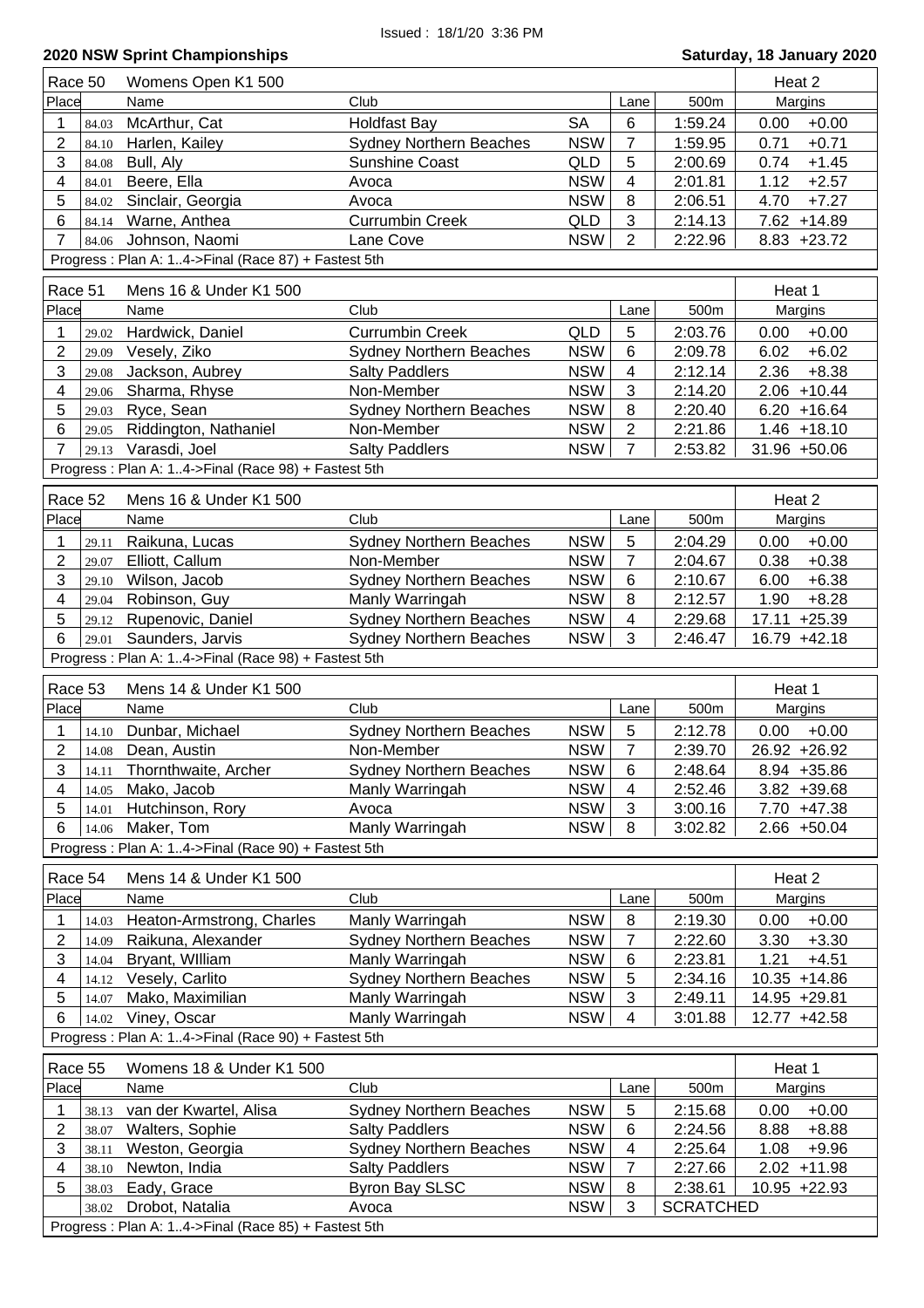| Race 50        |                | Womens Open K1 500                                                     |                                              |                          |                 |                    | Heat 2                            |
|----------------|----------------|------------------------------------------------------------------------|----------------------------------------------|--------------------------|-----------------|--------------------|-----------------------------------|
| Place          |                | Name                                                                   | Club                                         |                          | Lane            | 500m               | Margins                           |
| 1              | 84.03          | McArthur, Cat                                                          | <b>Holdfast Bay</b>                          | <b>SA</b>                | 6               | 1:59.24            | $+0.00$<br>0.00                   |
| 2              | 84.10          | Harlen, Kailey                                                         | <b>Sydney Northern Beaches</b>               | <b>NSW</b>               | $\overline{7}$  | 1:59.95            | 0.71<br>$+0.71$                   |
| 3              | 84.08          | Bull, Aly                                                              | <b>Sunshine Coast</b>                        | QLD                      | 5               | 2:00.69            | 0.74<br>$+1.45$                   |
| 4              | 84.01          | Beere, Ella                                                            | Avoca                                        | <b>NSW</b>               | $\overline{4}$  | 2:01.81            | 1.12<br>$+2.57$                   |
| 5              | 84.02          | Sinclair, Georgia                                                      | Avoca                                        | <b>NSW</b>               | 8               | 2:06.51            | 4.70<br>$+7.27$                   |
| 6              | 84.14          | Warne, Anthea                                                          | <b>Currumbin Creek</b>                       | QLD                      | 3               | 2:14.13            | $7.62 + 14.89$                    |
| $\overline{7}$ | 84.06          | Johnson, Naomi                                                         | Lane Cove                                    | <b>NSW</b>               | $\overline{2}$  | 2:22.96            | $8.83 + 23.72$                    |
|                |                | Progress: Plan A: 14->Final (Race 87) + Fastest 5th                    |                                              |                          |                 |                    |                                   |
| Race 51        |                | Mens 16 & Under K1 500                                                 |                                              |                          |                 |                    | Heat 1                            |
| Place          |                | Name                                                                   | Club                                         |                          |                 | 500m               |                                   |
|                |                |                                                                        |                                              |                          | Lane            |                    | Margins                           |
| 1              | 29.02          | Hardwick, Daniel                                                       | <b>Currumbin Creek</b>                       | QLD                      | 5               | 2:03.76            | $+0.00$<br>0.00                   |
| 2              | 29.09          | Vesely, Ziko                                                           | <b>Sydney Northern Beaches</b>               | <b>NSW</b>               | 6               | 2:09.78            | $+6.02$<br>6.02                   |
| 3<br>4         | 29.08          | Jackson, Aubrey                                                        | <b>Salty Paddlers</b><br>Non-Member          | <b>NSW</b><br><b>NSW</b> | 4<br>3          | 2:12.14<br>2:14.20 | 2.36<br>$+8.38$<br>$2.06 + 10.44$ |
| 5              | 29.06          | Sharma, Rhyse                                                          |                                              | <b>NSW</b>               | 8               | 2:20.40            | $6.20 + 16.64$                    |
| 6              | 29.03          | Ryce, Sean<br>Riddington, Nathaniel                                    | <b>Sydney Northern Beaches</b><br>Non-Member | <b>NSW</b>               | $\overline{2}$  | 2:21.86            | $1.46 + 18.10$                    |
| $\overline{7}$ | 29.05<br>29.13 | Varasdi, Joel                                                          | <b>Salty Paddlers</b>                        | <b>NSW</b>               | $\overline{7}$  | 2:53.82            | 31.96 +50.06                      |
|                |                |                                                                        |                                              |                          |                 |                    |                                   |
|                |                | Progress: Plan A: 14->Final (Race 98) + Fastest 5th                    |                                              |                          |                 |                    |                                   |
| Race 52        |                | Mens 16 & Under K1 500                                                 |                                              |                          |                 |                    | Heat 2                            |
| Place          |                | Name                                                                   | Club                                         |                          | Lane            | 500m               | Margins                           |
| 1              | 29.11          | Raikuna, Lucas                                                         | <b>Sydney Northern Beaches</b>               | <b>NSW</b>               | 5               | 2:04.29            | $+0.00$<br>0.00                   |
| $\overline{2}$ | 29.07          | Elliott, Callum                                                        | Non-Member                                   | <b>NSW</b>               | $\overline{7}$  | 2:04.67            | 0.38<br>$+0.38$                   |
| 3              | 29.10          | Wilson, Jacob                                                          | <b>Sydney Northern Beaches</b>               | <b>NSW</b>               | 6               | 2:10.67            | 6.00<br>$+6.38$                   |
| 4              | 29.04          | Robinson, Guy                                                          | Manly Warringah                              | <b>NSW</b>               | 8               | 2:12.57            | 1.90<br>$+8.28$                   |
| 5              | 29.12          | Rupenovic, Daniel                                                      | <b>Sydney Northern Beaches</b>               | <b>NSW</b>               | 4               | 2:29.68            | 17.11 +25.39                      |
| 6              | 29.01          | Saunders, Jarvis                                                       | Sydney Northern Beaches                      | <b>NSW</b>               | 3               | 2:46.47            | 16.79 +42.18                      |
|                |                |                                                                        |                                              |                          |                 |                    |                                   |
|                |                |                                                                        |                                              |                          |                 |                    |                                   |
|                |                | Progress : Plan A: 14->Final (Race 98) + Fastest 5th                   |                                              |                          |                 |                    |                                   |
| Race 53        |                | Mens 14 & Under K1 500                                                 |                                              |                          |                 |                    | Heat 1                            |
| Place          |                | Name                                                                   | Club                                         |                          | Lane            | 500m               | Margins                           |
| 1              | 14.10          | Dunbar, Michael                                                        | <b>Sydney Northern Beaches</b>               | <b>NSW</b>               | 5               | 2:12.78            | $0.00 + 0.00$                     |
| $\overline{2}$ |                | 14.08 Dean, Austin                                                     | Non-Member                                   | <b>NSW</b>               | $\overline{7}$  | 2:39.70            | 26.92 +26.92                      |
| $\mathbf{3}$   |                | 14.11 Thornthwaite, Archer                                             | Sydney Northern Beaches                      | <b>NSW</b>               | $6\overline{6}$ | 2:48.64            | 8.94 +35.86                       |
| 4              | 14.05          | Mako, Jacob                                                            | Manly Warringah                              | <b>NSW</b>               | 4               | 2:52.46            | $3.82 + 39.68$                    |
| 5              | 14.01          | Hutchinson, Rory                                                       | Avoca                                        | <b>NSW</b>               | 3               | 3:00.16            | 7.70 +47.38                       |
| 6              | 14.06          | Maker, Tom                                                             | Manly Warringah                              | <b>NSW</b>               | 8               | 3:02.82            | $2.66 + 50.04$                    |
|                |                | Progress: Plan A: 14->Final (Race 90) + Fastest 5th                    |                                              |                          |                 |                    |                                   |
| Race 54        |                | Mens 14 & Under K1 500                                                 |                                              |                          |                 |                    | Heat 2                            |
| Place          |                | Name                                                                   | Club                                         |                          | Lane            | 500m               |                                   |
|                |                |                                                                        |                                              |                          |                 |                    | Margins                           |
| 1              | 14.03          | Heaton-Armstrong, Charles                                              | Manly Warringah                              | <b>NSW</b>               | 8               | 2:19.30            | $+0.00$<br>0.00                   |
| 2              | 14.09          | Raikuna, Alexander                                                     | <b>Sydney Northern Beaches</b>               | <b>NSW</b>               | 7               | 2:22.60            | $+3.30$<br>3.30                   |
| 3              | 14.04          | Bryant, William                                                        | Manly Warringah                              | <b>NSW</b>               | 6               | 2:23.81            | 1.21<br>$+4.51$                   |
| 4              | 14.12          | Vesely, Carlito                                                        | <b>Sydney Northern Beaches</b>               | <b>NSW</b>               | 5               | 2:34.16            | 10.35 +14.86                      |
| 5              | 14.07          | Mako, Maximilian                                                       | Manly Warringah                              | <b>NSW</b>               | 3<br>4          | 2:49.11            | 14.95 +29.81                      |
| 6              | 14.02          | Viney, Oscar                                                           | Manly Warringah                              | <b>NSW</b>               |                 | 3:01.88            | 12.77 +42.58                      |
|                |                | Progress : Plan A: 14->Final (Race 90) + Fastest 5th                   |                                              |                          |                 |                    |                                   |
| Race 55        |                | Womens 18 & Under K1 500                                               |                                              |                          |                 |                    | Heat 1                            |
| Place          |                | Name                                                                   | Club                                         |                          | Lane            | 500m               | Margins                           |
| 1              | 38.13          | van der Kwartel, Alisa                                                 | <b>Sydney Northern Beaches</b>               | <b>NSW</b>               | $\sqrt{5}$      | 2:15.68            | 0.00<br>$+0.00$                   |
| 2              | 38.07          | Walters, Sophie                                                        | <b>Salty Paddlers</b>                        | <b>NSW</b>               | 6               | 2:24.56            | 8.88<br>$+8.88$                   |
| 3              | 38.11          | Weston, Georgia                                                        | <b>Sydney Northern Beaches</b>               | <b>NSW</b>               | 4               | 2:25.64            | 1.08<br>$+9.96$                   |
| 4              | 38.10          | Newton, India                                                          | <b>Salty Paddlers</b>                        | <b>NSW</b>               | $\overline{7}$  | 2:27.66            | $2.02 + 11.98$                    |
| 5              | 38.03          | Eady, Grace                                                            | <b>Byron Bay SLSC</b>                        | <b>NSW</b>               | 8               | 2:38.61            | 10.95 +22.93                      |
|                | 38.02          | Drobot, Natalia<br>Progress: Plan A: 14->Final (Race 85) + Fastest 5th | Avoca                                        | <b>NSW</b>               | 3               | <b>SCRATCHED</b>   |                                   |